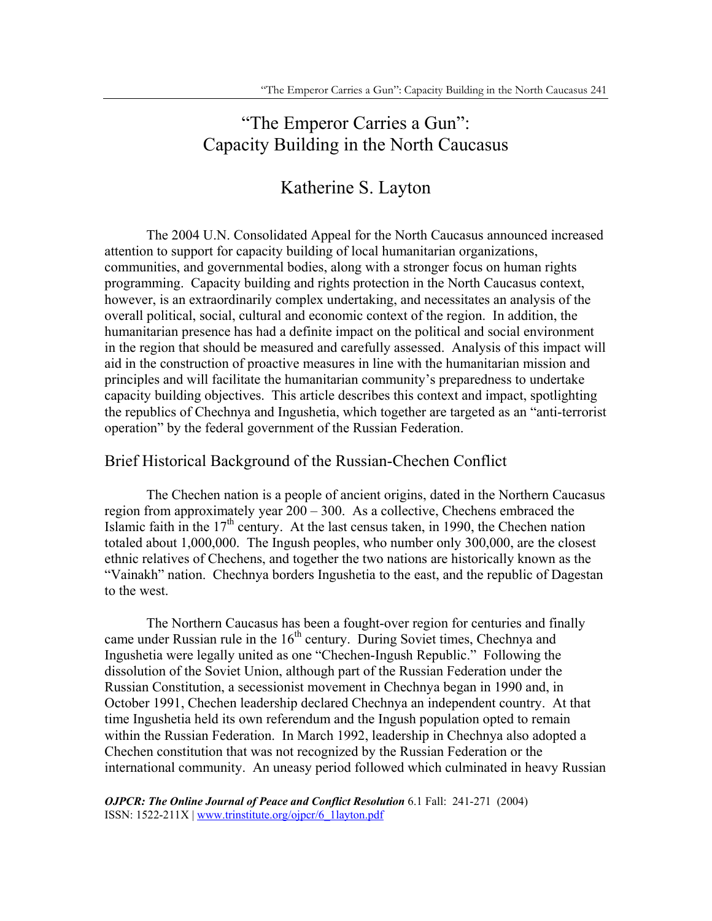# "The Emperor Carries a Gun": Capacity Building in the North Caucasus

# Katherine S. Layton

The 2004 U.N. Consolidated Appeal for the North Caucasus announced increased attention to support for capacity building of local humanitarian organizations, communities, and governmental bodies, along with a stronger focus on human rights programming. Capacity building and rights protection in the North Caucasus context, however, is an extraordinarily complex undertaking, and necessitates an analysis of the overall political, social, cultural and economic context of the region. In addition, the humanitarian presence has had a definite impact on the political and social environment in the region that should be measured and carefully assessed. Analysis of this impact will aid in the construction of proactive measures in line with the humanitarian mission and principles and will facilitate the humanitarian community's preparedness to undertake capacity building objectives. This article describes this context and impact, spotlighting the republics of Chechnya and Ingushetia, which together are targeted as an "anti-terrorist operation" by the federal government of the Russian Federation.

# Brief Historical Background of the Russian-Chechen Conflict

The Chechen nation is a people of ancient origins, dated in the Northern Caucasus region from approximately year 200 – 300. As a collective, Chechens embraced the Islamic faith in the  $17<sup>th</sup>$  century. At the last census taken, in 1990, the Chechen nation totaled about 1,000,000. The Ingush peoples, who number only 300,000, are the closest ethnic relatives of Chechens, and together the two nations are historically known as the "Vainakh" nation. Chechnya borders Ingushetia to the east, and the republic of Dagestan to the west.

The Northern Caucasus has been a fought-over region for centuries and finally came under Russian rule in the 16<sup>th</sup> century. During Soviet times, Chechnya and Ingushetia were legally united as one "Chechen-Ingush Republic." Following the dissolution of the Soviet Union, although part of the Russian Federation under the Russian Constitution, a secessionist movement in Chechnya began in 1990 and, in October 1991, Chechen leadership declared Chechnya an independent country. At that time Ingushetia held its own referendum and the Ingush population opted to remain within the Russian Federation. In March 1992, leadership in Chechnya also adopted a Chechen constitution that was not recognized by the Russian Federation or the international community. An uneasy period followed which culminated in heavy Russian

*OJPCR: The Online Journal of Peace and Conflict Resolution* 6.1 Fall: 241-271 (2004) ISSN: 1522-211X | www.trinstitute.org/ojpcr/6\_1layton.pdf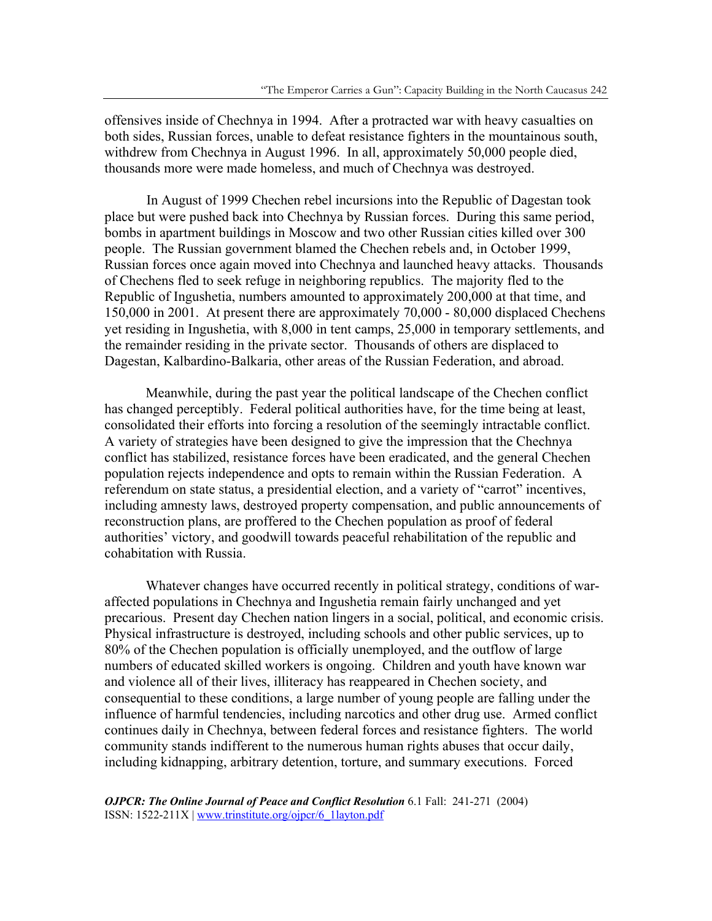offensives inside of Chechnya in 1994. After a protracted war with heavy casualties on both sides, Russian forces, unable to defeat resistance fighters in the mountainous south, withdrew from Chechnya in August 1996. In all, approximately 50,000 people died, thousands more were made homeless, and much of Chechnya was destroyed.

In August of 1999 Chechen rebel incursions into the Republic of Dagestan took place but were pushed back into Chechnya by Russian forces. During this same period, bombs in apartment buildings in Moscow and two other Russian cities killed over 300 people. The Russian government blamed the Chechen rebels and, in October 1999, Russian forces once again moved into Chechnya and launched heavy attacks. Thousands of Chechens fled to seek refuge in neighboring republics. The majority fled to the Republic of Ingushetia, numbers amounted to approximately 200,000 at that time, and 150,000 in 2001. At present there are approximately 70,000 - 80,000 displaced Chechens yet residing in Ingushetia, with 8,000 in tent camps, 25,000 in temporary settlements, and the remainder residing in the private sector. Thousands of others are displaced to Dagestan, Kalbardino-Balkaria, other areas of the Russian Federation, and abroad.

Meanwhile, during the past year the political landscape of the Chechen conflict has changed perceptibly. Federal political authorities have, for the time being at least, consolidated their efforts into forcing a resolution of the seemingly intractable conflict. A variety of strategies have been designed to give the impression that the Chechnya conflict has stabilized, resistance forces have been eradicated, and the general Chechen population rejects independence and opts to remain within the Russian Federation. A referendum on state status, a presidential election, and a variety of "carrot" incentives, including amnesty laws, destroyed property compensation, and public announcements of reconstruction plans, are proffered to the Chechen population as proof of federal authorities' victory, and goodwill towards peaceful rehabilitation of the republic and cohabitation with Russia.

Whatever changes have occurred recently in political strategy, conditions of waraffected populations in Chechnya and Ingushetia remain fairly unchanged and yet precarious. Present day Chechen nation lingers in a social, political, and economic crisis. Physical infrastructure is destroyed, including schools and other public services, up to 80% of the Chechen population is officially unemployed, and the outflow of large numbers of educated skilled workers is ongoing. Children and youth have known war and violence all of their lives, illiteracy has reappeared in Chechen society, and consequential to these conditions, a large number of young people are falling under the influence of harmful tendencies, including narcotics and other drug use. Armed conflict continues daily in Chechnya, between federal forces and resistance fighters. The world community stands indifferent to the numerous human rights abuses that occur daily, including kidnapping, arbitrary detention, torture, and summary executions. Forced

*OJPCR: The Online Journal of Peace and Conflict Resolution* 6.1 Fall: 241-271 (2004) ISSN: 1522-211X | www.trinstitute.org/ojpcr/6\_1layton.pdf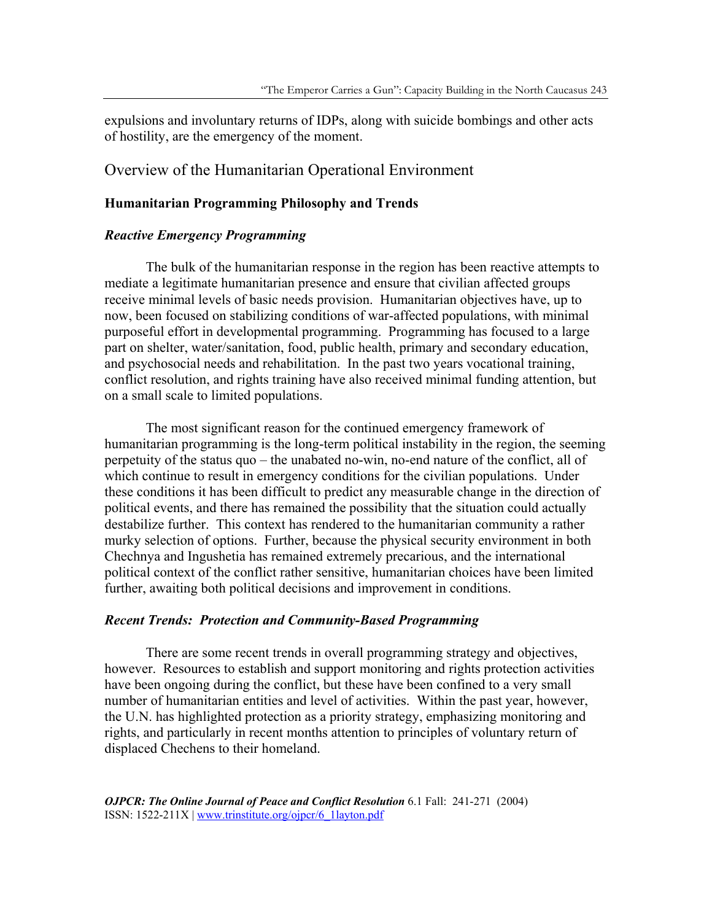expulsions and involuntary returns of IDPs, along with suicide bombings and other acts of hostility, are the emergency of the moment.

# Overview of the Humanitarian Operational Environment

# **Humanitarian Programming Philosophy and Trends**

### *Reactive Emergency Programming*

The bulk of the humanitarian response in the region has been reactive attempts to mediate a legitimate humanitarian presence and ensure that civilian affected groups receive minimal levels of basic needs provision. Humanitarian objectives have, up to now, been focused on stabilizing conditions of war-affected populations, with minimal purposeful effort in developmental programming. Programming has focused to a large part on shelter, water/sanitation, food, public health, primary and secondary education, and psychosocial needs and rehabilitation. In the past two years vocational training, conflict resolution, and rights training have also received minimal funding attention, but on a small scale to limited populations.

The most significant reason for the continued emergency framework of humanitarian programming is the long-term political instability in the region, the seeming perpetuity of the status quo – the unabated no-win, no-end nature of the conflict, all of which continue to result in emergency conditions for the civilian populations. Under these conditions it has been difficult to predict any measurable change in the direction of political events, and there has remained the possibility that the situation could actually destabilize further. This context has rendered to the humanitarian community a rather murky selection of options. Further, because the physical security environment in both Chechnya and Ingushetia has remained extremely precarious, and the international political context of the conflict rather sensitive, humanitarian choices have been limited further, awaiting both political decisions and improvement in conditions.

#### *Recent Trends: Protection and Community-Based Programming*

There are some recent trends in overall programming strategy and objectives, however. Resources to establish and support monitoring and rights protection activities have been ongoing during the conflict, but these have been confined to a very small number of humanitarian entities and level of activities. Within the past year, however, the U.N. has highlighted protection as a priority strategy, emphasizing monitoring and rights, and particularly in recent months attention to principles of voluntary return of displaced Chechens to their homeland.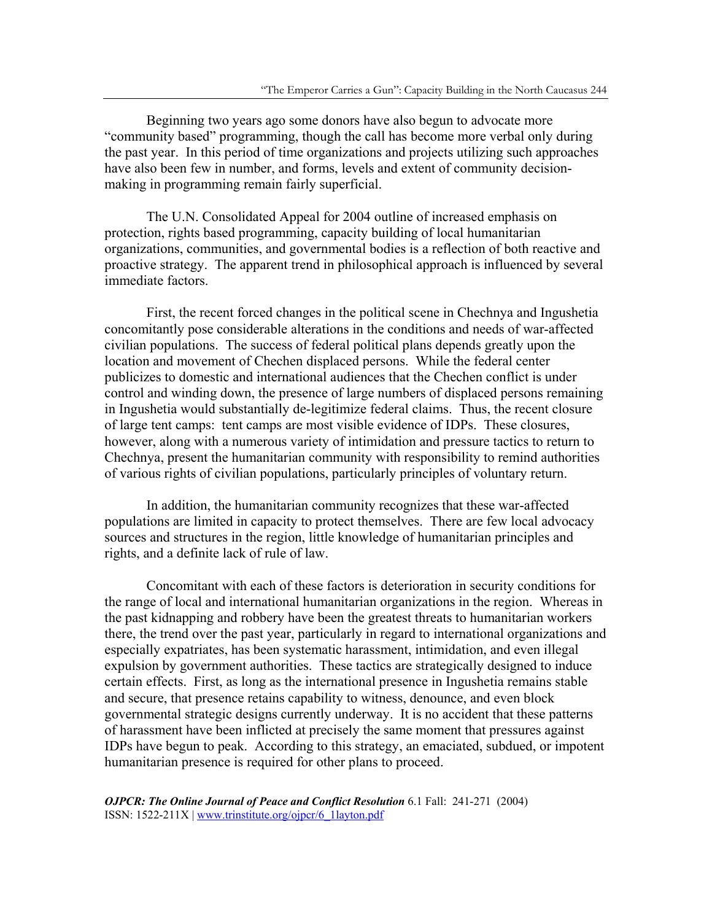Beginning two years ago some donors have also begun to advocate more "community based" programming, though the call has become more verbal only during the past year. In this period of time organizations and projects utilizing such approaches have also been few in number, and forms, levels and extent of community decisionmaking in programming remain fairly superficial.

 The U.N. Consolidated Appeal for 2004 outline of increased emphasis on protection, rights based programming, capacity building of local humanitarian organizations, communities, and governmental bodies is a reflection of both reactive and proactive strategy. The apparent trend in philosophical approach is influenced by several immediate factors.

 First, the recent forced changes in the political scene in Chechnya and Ingushetia concomitantly pose considerable alterations in the conditions and needs of war-affected civilian populations. The success of federal political plans depends greatly upon the location and movement of Chechen displaced persons. While the federal center publicizes to domestic and international audiences that the Chechen conflict is under control and winding down, the presence of large numbers of displaced persons remaining in Ingushetia would substantially de-legitimize federal claims. Thus, the recent closure of large tent camps: tent camps are most visible evidence of IDPs. These closures, however, along with a numerous variety of intimidation and pressure tactics to return to Chechnya, present the humanitarian community with responsibility to remind authorities of various rights of civilian populations, particularly principles of voluntary return.

 In addition, the humanitarian community recognizes that these war-affected populations are limited in capacity to protect themselves. There are few local advocacy sources and structures in the region, little knowledge of humanitarian principles and rights, and a definite lack of rule of law.

 Concomitant with each of these factors is deterioration in security conditions for the range of local and international humanitarian organizations in the region. Whereas in the past kidnapping and robbery have been the greatest threats to humanitarian workers there, the trend over the past year, particularly in regard to international organizations and especially expatriates, has been systematic harassment, intimidation, and even illegal expulsion by government authorities. These tactics are strategically designed to induce certain effects. First, as long as the international presence in Ingushetia remains stable and secure, that presence retains capability to witness, denounce, and even block governmental strategic designs currently underway. It is no accident that these patterns of harassment have been inflicted at precisely the same moment that pressures against IDPs have begun to peak. According to this strategy, an emaciated, subdued, or impotent humanitarian presence is required for other plans to proceed.

*OJPCR: The Online Journal of Peace and Conflict Resolution* 6.1 Fall: 241-271 (2004) ISSN: 1522-211X | www.trinstitute.org/ojpcr/6\_1layton.pdf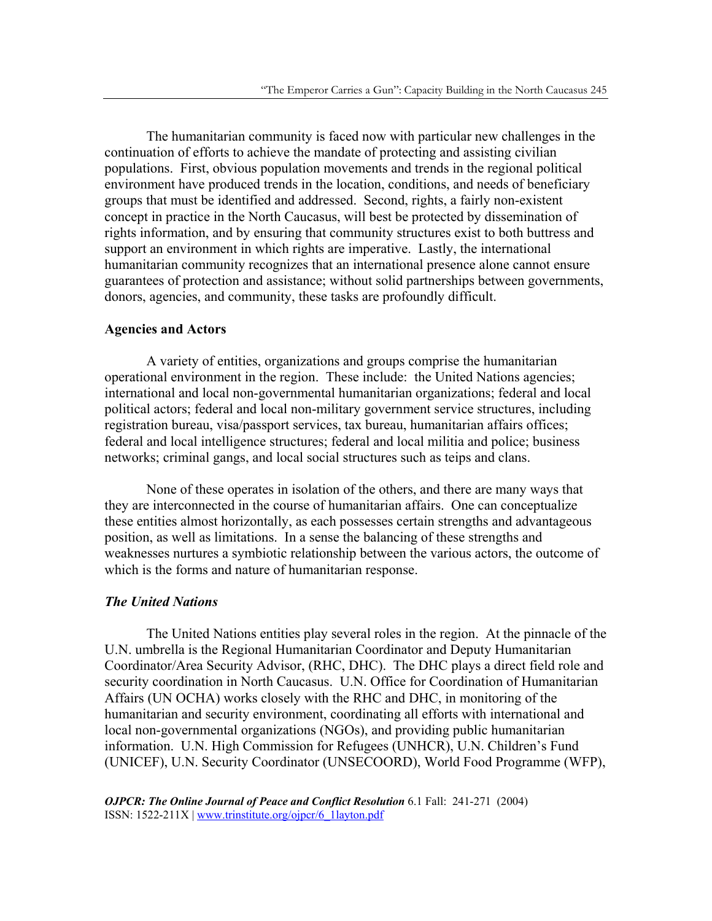The humanitarian community is faced now with particular new challenges in the continuation of efforts to achieve the mandate of protecting and assisting civilian populations. First, obvious population movements and trends in the regional political environment have produced trends in the location, conditions, and needs of beneficiary groups that must be identified and addressed. Second, rights, a fairly non-existent concept in practice in the North Caucasus, will best be protected by dissemination of rights information, and by ensuring that community structures exist to both buttress and support an environment in which rights are imperative. Lastly, the international humanitarian community recognizes that an international presence alone cannot ensure guarantees of protection and assistance; without solid partnerships between governments, donors, agencies, and community, these tasks are profoundly difficult.

### **Agencies and Actors**

A variety of entities, organizations and groups comprise the humanitarian operational environment in the region. These include: the United Nations agencies; international and local non-governmental humanitarian organizations; federal and local political actors; federal and local non-military government service structures, including registration bureau, visa/passport services, tax bureau, humanitarian affairs offices; federal and local intelligence structures; federal and local militia and police; business networks; criminal gangs, and local social structures such as teips and clans.

None of these operates in isolation of the others, and there are many ways that they are interconnected in the course of humanitarian affairs. One can conceptualize these entities almost horizontally, as each possesses certain strengths and advantageous position, as well as limitations. In a sense the balancing of these strengths and weaknesses nurtures a symbiotic relationship between the various actors, the outcome of which is the forms and nature of humanitarian response.

# *The United Nations*

 The United Nations entities play several roles in the region. At the pinnacle of the U.N. umbrella is the Regional Humanitarian Coordinator and Deputy Humanitarian Coordinator/Area Security Advisor, (RHC, DHC). The DHC plays a direct field role and security coordination in North Caucasus. U.N. Office for Coordination of Humanitarian Affairs (UN OCHA) works closely with the RHC and DHC, in monitoring of the humanitarian and security environment, coordinating all efforts with international and local non-governmental organizations (NGOs), and providing public humanitarian information. U.N. High Commission for Refugees (UNHCR), U.N. Children's Fund (UNICEF), U.N. Security Coordinator (UNSECOORD), World Food Programme (WFP),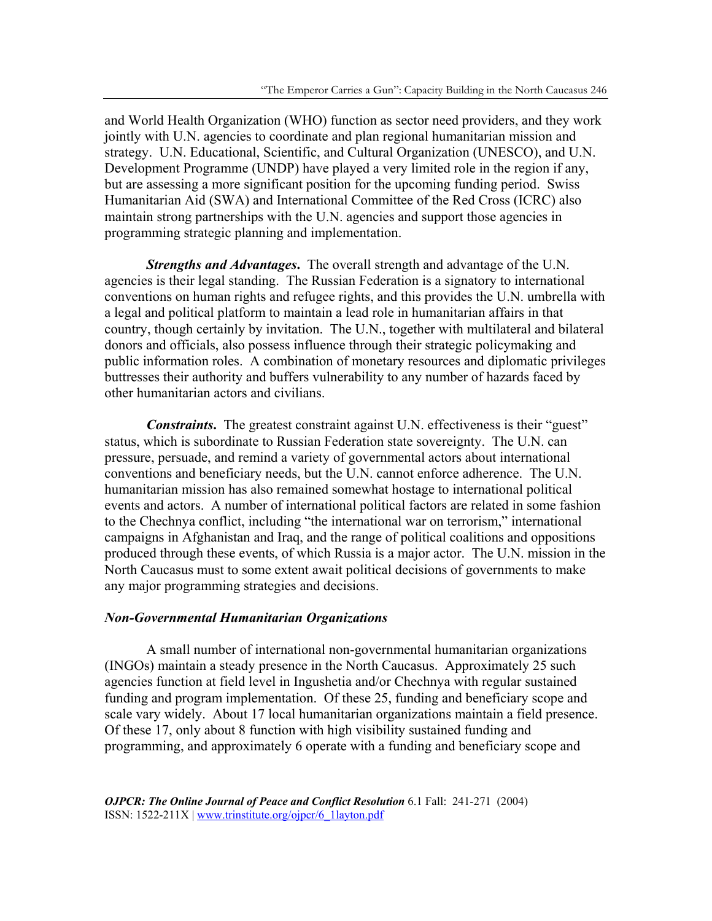and World Health Organization (WHO) function as sector need providers, and they work jointly with U.N. agencies to coordinate and plan regional humanitarian mission and strategy. U.N. Educational, Scientific, and Cultural Organization (UNESCO), and U.N. Development Programme (UNDP) have played a very limited role in the region if any, but are assessing a more significant position for the upcoming funding period. Swiss Humanitarian Aid (SWA) and International Committee of the Red Cross (ICRC) also maintain strong partnerships with the U.N. agencies and support those agencies in programming strategic planning and implementation.

*Strengths and Advantages***.** The overall strength and advantage of the U.N. agencies is their legal standing. The Russian Federation is a signatory to international conventions on human rights and refugee rights, and this provides the U.N. umbrella with a legal and political platform to maintain a lead role in humanitarian affairs in that country, though certainly by invitation. The U.N., together with multilateral and bilateral donors and officials, also possess influence through their strategic policymaking and public information roles. A combination of monetary resources and diplomatic privileges buttresses their authority and buffers vulnerability to any number of hazards faced by other humanitarian actors and civilians.

*Constraints*. The greatest constraint against U.N. effectiveness is their "guest" status, which is subordinate to Russian Federation state sovereignty. The U.N. can pressure, persuade, and remind a variety of governmental actors about international conventions and beneficiary needs, but the U.N. cannot enforce adherence. The U.N. humanitarian mission has also remained somewhat hostage to international political events and actors. A number of international political factors are related in some fashion to the Chechnya conflict, including "the international war on terrorism," international campaigns in Afghanistan and Iraq, and the range of political coalitions and oppositions produced through these events, of which Russia is a major actor. The U.N. mission in the North Caucasus must to some extent await political decisions of governments to make any major programming strategies and decisions.

#### *Non-Governmental Humanitarian Organizations*

 A small number of international non-governmental humanitarian organizations (INGOs) maintain a steady presence in the North Caucasus. Approximately 25 such agencies function at field level in Ingushetia and/or Chechnya with regular sustained funding and program implementation. Of these 25, funding and beneficiary scope and scale vary widely. About 17 local humanitarian organizations maintain a field presence. Of these 17, only about 8 function with high visibility sustained funding and programming, and approximately 6 operate with a funding and beneficiary scope and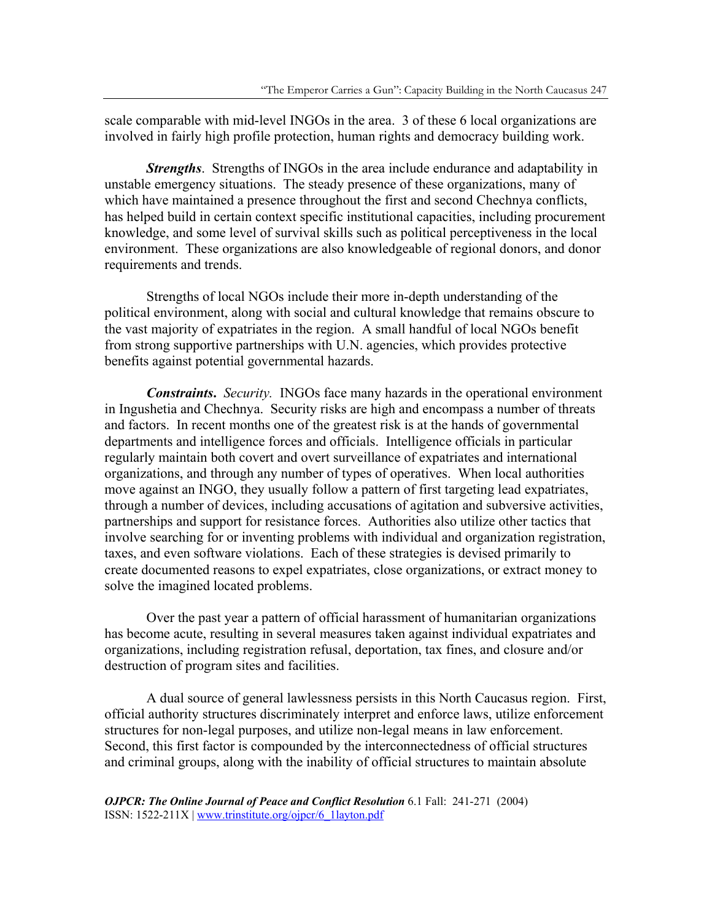scale comparable with mid-level INGOs in the area. 3 of these 6 local organizations are involved in fairly high profile protection, human rights and democracy building work.

*Strengths*. Strengths of INGOs in the area include endurance and adaptability in unstable emergency situations. The steady presence of these organizations, many of which have maintained a presence throughout the first and second Chechnya conflicts, has helped build in certain context specific institutional capacities, including procurement knowledge, and some level of survival skills such as political perceptiveness in the local environment. These organizations are also knowledgeable of regional donors, and donor requirements and trends.

 Strengths of local NGOs include their more in-depth understanding of the political environment, along with social and cultural knowledge that remains obscure to the vast majority of expatriates in the region. A small handful of local NGOs benefit from strong supportive partnerships with U.N. agencies, which provides protective benefits against potential governmental hazards.

*Constraints***.** *Security.* INGOs face many hazards in the operational environment in Ingushetia and Chechnya. Security risks are high and encompass a number of threats and factors. In recent months one of the greatest risk is at the hands of governmental departments and intelligence forces and officials. Intelligence officials in particular regularly maintain both covert and overt surveillance of expatriates and international organizations, and through any number of types of operatives. When local authorities move against an INGO, they usually follow a pattern of first targeting lead expatriates, through a number of devices, including accusations of agitation and subversive activities, partnerships and support for resistance forces. Authorities also utilize other tactics that involve searching for or inventing problems with individual and organization registration, taxes, and even software violations. Each of these strategies is devised primarily to create documented reasons to expel expatriates, close organizations, or extract money to solve the imagined located problems.

Over the past year a pattern of official harassment of humanitarian organizations has become acute, resulting in several measures taken against individual expatriates and organizations, including registration refusal, deportation, tax fines, and closure and/or destruction of program sites and facilities.

A dual source of general lawlessness persists in this North Caucasus region. First, official authority structures discriminately interpret and enforce laws, utilize enforcement structures for non-legal purposes, and utilize non-legal means in law enforcement. Second, this first factor is compounded by the interconnectedness of official structures and criminal groups, along with the inability of official structures to maintain absolute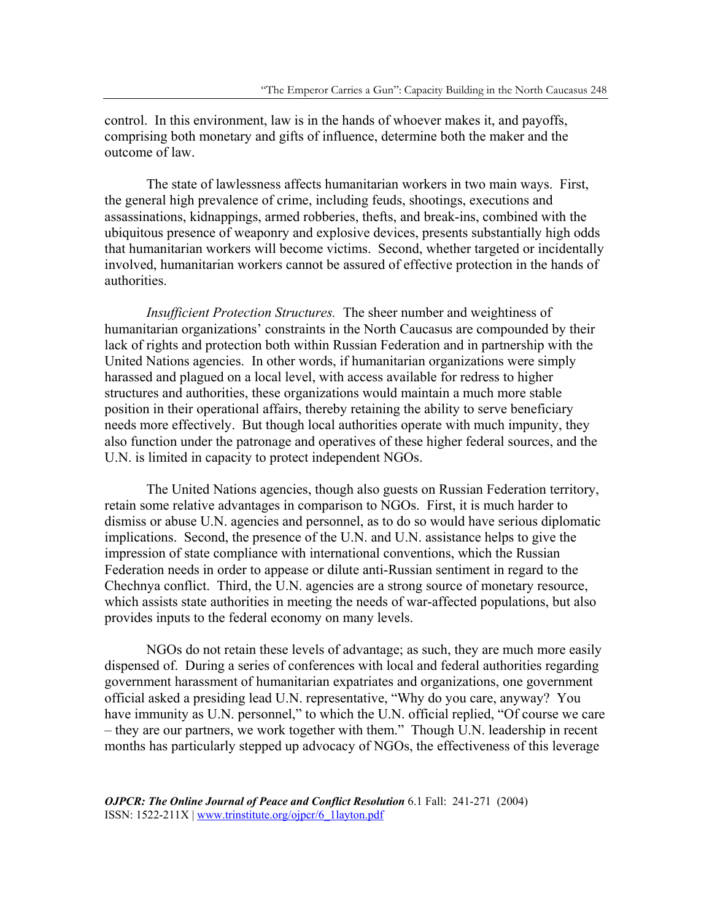control. In this environment, law is in the hands of whoever makes it, and payoffs, comprising both monetary and gifts of influence, determine both the maker and the outcome of law.

The state of lawlessness affects humanitarian workers in two main ways. First, the general high prevalence of crime, including feuds, shootings, executions and assassinations, kidnappings, armed robberies, thefts, and break-ins, combined with the ubiquitous presence of weaponry and explosive devices, presents substantially high odds that humanitarian workers will become victims. Second, whether targeted or incidentally involved, humanitarian workers cannot be assured of effective protection in the hands of authorities.

*Insufficient Protection Structures.* The sheer number and weightiness of humanitarian organizations' constraints in the North Caucasus are compounded by their lack of rights and protection both within Russian Federation and in partnership with the United Nations agencies. In other words, if humanitarian organizations were simply harassed and plagued on a local level, with access available for redress to higher structures and authorities, these organizations would maintain a much more stable position in their operational affairs, thereby retaining the ability to serve beneficiary needs more effectively. But though local authorities operate with much impunity, they also function under the patronage and operatives of these higher federal sources, and the U.N. is limited in capacity to protect independent NGOs.

 The United Nations agencies, though also guests on Russian Federation territory, retain some relative advantages in comparison to NGOs. First, it is much harder to dismiss or abuse U.N. agencies and personnel, as to do so would have serious diplomatic implications. Second, the presence of the U.N. and U.N. assistance helps to give the impression of state compliance with international conventions, which the Russian Federation needs in order to appease or dilute anti-Russian sentiment in regard to the Chechnya conflict. Third, the U.N. agencies are a strong source of monetary resource, which assists state authorities in meeting the needs of war-affected populations, but also provides inputs to the federal economy on many levels.

 NGOs do not retain these levels of advantage; as such, they are much more easily dispensed of. During a series of conferences with local and federal authorities regarding government harassment of humanitarian expatriates and organizations, one government official asked a presiding lead U.N. representative, "Why do you care, anyway? You have immunity as U.N. personnel," to which the U.N. official replied, "Of course we care – they are our partners, we work together with them." Though U.N. leadership in recent months has particularly stepped up advocacy of NGOs, the effectiveness of this leverage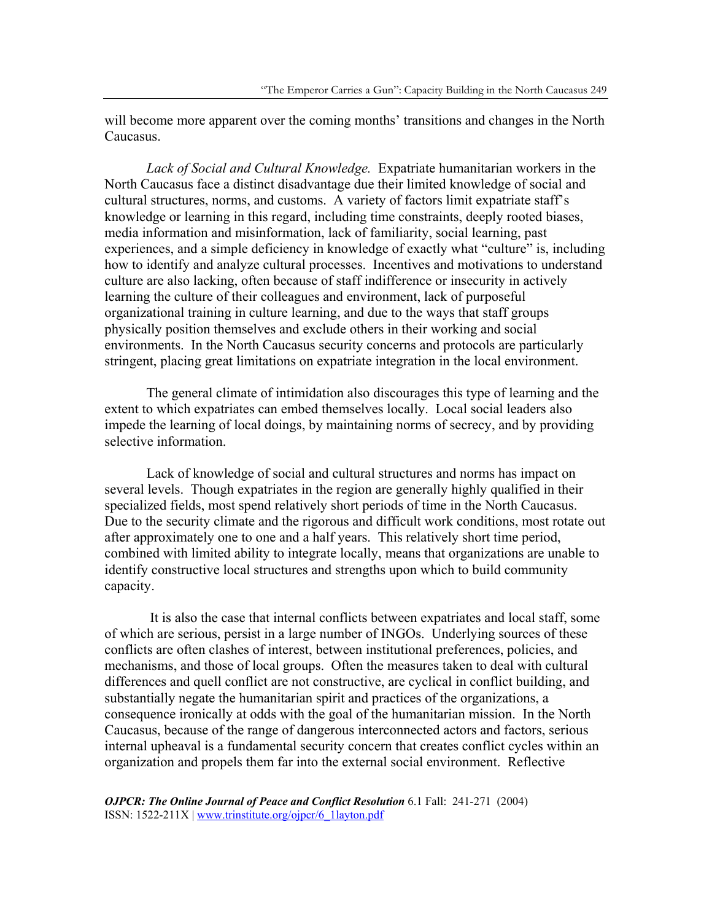will become more apparent over the coming months' transitions and changes in the North Caucasus.

*Lack of Social and Cultural Knowledge.* Expatriate humanitarian workers in the North Caucasus face a distinct disadvantage due their limited knowledge of social and cultural structures, norms, and customs. A variety of factors limit expatriate staff's knowledge or learning in this regard, including time constraints, deeply rooted biases, media information and misinformation, lack of familiarity, social learning, past experiences, and a simple deficiency in knowledge of exactly what "culture" is, including how to identify and analyze cultural processes. Incentives and motivations to understand culture are also lacking, often because of staff indifference or insecurity in actively learning the culture of their colleagues and environment, lack of purposeful organizational training in culture learning, and due to the ways that staff groups physically position themselves and exclude others in their working and social environments. In the North Caucasus security concerns and protocols are particularly stringent, placing great limitations on expatriate integration in the local environment.

The general climate of intimidation also discourages this type of learning and the extent to which expatriates can embed themselves locally. Local social leaders also impede the learning of local doings, by maintaining norms of secrecy, and by providing selective information.

Lack of knowledge of social and cultural structures and norms has impact on several levels. Though expatriates in the region are generally highly qualified in their specialized fields, most spend relatively short periods of time in the North Caucasus. Due to the security climate and the rigorous and difficult work conditions, most rotate out after approximately one to one and a half years. This relatively short time period, combined with limited ability to integrate locally, means that organizations are unable to identify constructive local structures and strengths upon which to build community capacity.

 It is also the case that internal conflicts between expatriates and local staff, some of which are serious, persist in a large number of INGOs. Underlying sources of these conflicts are often clashes of interest, between institutional preferences, policies, and mechanisms, and those of local groups. Often the measures taken to deal with cultural differences and quell conflict are not constructive, are cyclical in conflict building, and substantially negate the humanitarian spirit and practices of the organizations, a consequence ironically at odds with the goal of the humanitarian mission. In the North Caucasus, because of the range of dangerous interconnected actors and factors, serious internal upheaval is a fundamental security concern that creates conflict cycles within an organization and propels them far into the external social environment. Reflective

*OJPCR: The Online Journal of Peace and Conflict Resolution* 6.1 Fall: 241-271 (2004) ISSN: 1522-211X | www.trinstitute.org/ojpcr/6\_1layton.pdf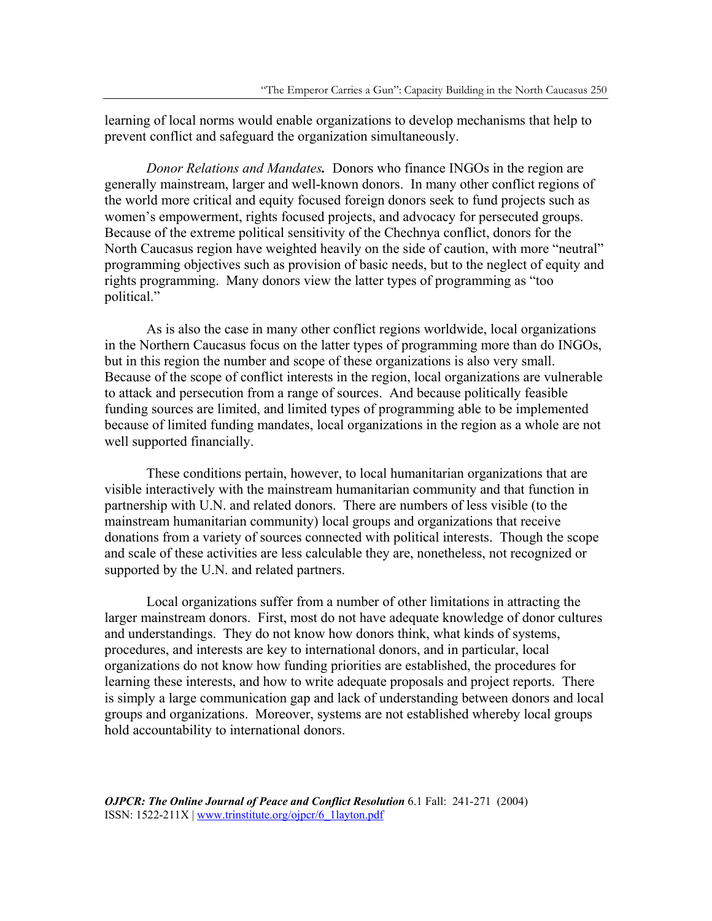learning of local norms would enable organizations to develop mechanisms that help to prevent conflict and safeguard the organization simultaneously.

*Donor Relations and Mandates.* Donors who finance INGOs in the region are generally mainstream, larger and well-known donors. In many other conflict regions of the world more critical and equity focused foreign donors seek to fund projects such as women's empowerment, rights focused projects, and advocacy for persecuted groups. Because of the extreme political sensitivity of the Chechnya conflict, donors for the North Caucasus region have weighted heavily on the side of caution, with more "neutral" programming objectives such as provision of basic needs, but to the neglect of equity and rights programming. Many donors view the latter types of programming as "too political."

 As is also the case in many other conflict regions worldwide, local organizations in the Northern Caucasus focus on the latter types of programming more than do INGOs, but in this region the number and scope of these organizations is also very small. Because of the scope of conflict interests in the region, local organizations are vulnerable to attack and persecution from a range of sources. And because politically feasible funding sources are limited, and limited types of programming able to be implemented because of limited funding mandates, local organizations in the region as a whole are not well supported financially.

These conditions pertain, however, to local humanitarian organizations that are visible interactively with the mainstream humanitarian community and that function in partnership with U.N. and related donors. There are numbers of less visible (to the mainstream humanitarian community) local groups and organizations that receive donations from a variety of sources connected with political interests. Though the scope and scale of these activities are less calculable they are, nonetheless, not recognized or supported by the U.N. and related partners.

 Local organizations suffer from a number of other limitations in attracting the larger mainstream donors. First, most do not have adequate knowledge of donor cultures and understandings. They do not know how donors think, what kinds of systems, procedures, and interests are key to international donors, and in particular, local organizations do not know how funding priorities are established, the procedures for learning these interests, and how to write adequate proposals and project reports. There is simply a large communication gap and lack of understanding between donors and local groups and organizations. Moreover, systems are not established whereby local groups hold accountability to international donors.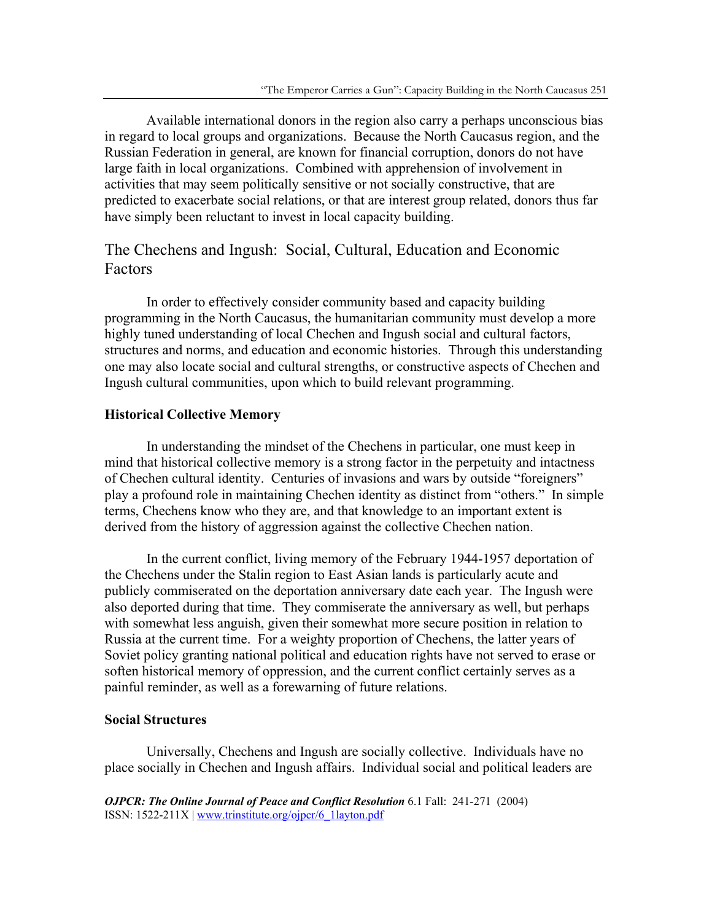Available international donors in the region also carry a perhaps unconscious bias in regard to local groups and organizations. Because the North Caucasus region, and the Russian Federation in general, are known for financial corruption, donors do not have large faith in local organizations. Combined with apprehension of involvement in activities that may seem politically sensitive or not socially constructive, that are predicted to exacerbate social relations, or that are interest group related, donors thus far have simply been reluctant to invest in local capacity building.

# The Chechens and Ingush: Social, Cultural, Education and Economic Factors

In order to effectively consider community based and capacity building programming in the North Caucasus, the humanitarian community must develop a more highly tuned understanding of local Chechen and Ingush social and cultural factors, structures and norms, and education and economic histories. Through this understanding one may also locate social and cultural strengths, or constructive aspects of Chechen and Ingush cultural communities, upon which to build relevant programming.

# **Historical Collective Memory**

 In understanding the mindset of the Chechens in particular, one must keep in mind that historical collective memory is a strong factor in the perpetuity and intactness of Chechen cultural identity. Centuries of invasions and wars by outside "foreigners" play a profound role in maintaining Chechen identity as distinct from "others." In simple terms, Chechens know who they are, and that knowledge to an important extent is derived from the history of aggression against the collective Chechen nation.

 In the current conflict, living memory of the February 1944-1957 deportation of the Chechens under the Stalin region to East Asian lands is particularly acute and publicly commiserated on the deportation anniversary date each year. The Ingush were also deported during that time. They commiserate the anniversary as well, but perhaps with somewhat less anguish, given their somewhat more secure position in relation to Russia at the current time. For a weighty proportion of Chechens, the latter years of Soviet policy granting national political and education rights have not served to erase or soften historical memory of oppression, and the current conflict certainly serves as a painful reminder, as well as a forewarning of future relations.

#### **Social Structures**

 Universally, Chechens and Ingush are socially collective. Individuals have no place socially in Chechen and Ingush affairs. Individual social and political leaders are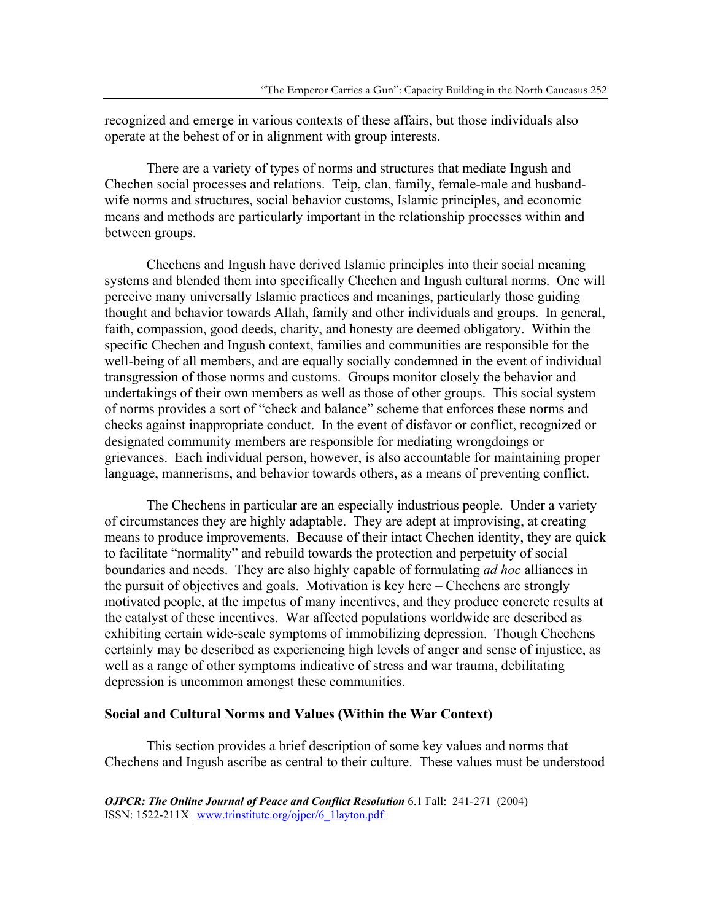recognized and emerge in various contexts of these affairs, but those individuals also operate at the behest of or in alignment with group interests.

 There are a variety of types of norms and structures that mediate Ingush and Chechen social processes and relations. Teip, clan, family, female-male and husbandwife norms and structures, social behavior customs, Islamic principles, and economic means and methods are particularly important in the relationship processes within and between groups.

 Chechens and Ingush have derived Islamic principles into their social meaning systems and blended them into specifically Chechen and Ingush cultural norms. One will perceive many universally Islamic practices and meanings, particularly those guiding thought and behavior towards Allah, family and other individuals and groups. In general, faith, compassion, good deeds, charity, and honesty are deemed obligatory. Within the specific Chechen and Ingush context, families and communities are responsible for the well-being of all members, and are equally socially condemned in the event of individual transgression of those norms and customs. Groups monitor closely the behavior and undertakings of their own members as well as those of other groups. This social system of norms provides a sort of "check and balance" scheme that enforces these norms and checks against inappropriate conduct. In the event of disfavor or conflict, recognized or designated community members are responsible for mediating wrongdoings or grievances. Each individual person, however, is also accountable for maintaining proper language, mannerisms, and behavior towards others, as a means of preventing conflict.

 The Chechens in particular are an especially industrious people. Under a variety of circumstances they are highly adaptable. They are adept at improvising, at creating means to produce improvements. Because of their intact Chechen identity, they are quick to facilitate "normality" and rebuild towards the protection and perpetuity of social boundaries and needs. They are also highly capable of formulating *ad hoc* alliances in the pursuit of objectives and goals. Motivation is key here – Chechens are strongly motivated people, at the impetus of many incentives, and they produce concrete results at the catalyst of these incentives. War affected populations worldwide are described as exhibiting certain wide-scale symptoms of immobilizing depression. Though Chechens certainly may be described as experiencing high levels of anger and sense of injustice, as well as a range of other symptoms indicative of stress and war trauma, debilitating depression is uncommon amongst these communities.

#### **Social and Cultural Norms and Values (Within the War Context)**

 This section provides a brief description of some key values and norms that Chechens and Ingush ascribe as central to their culture. These values must be understood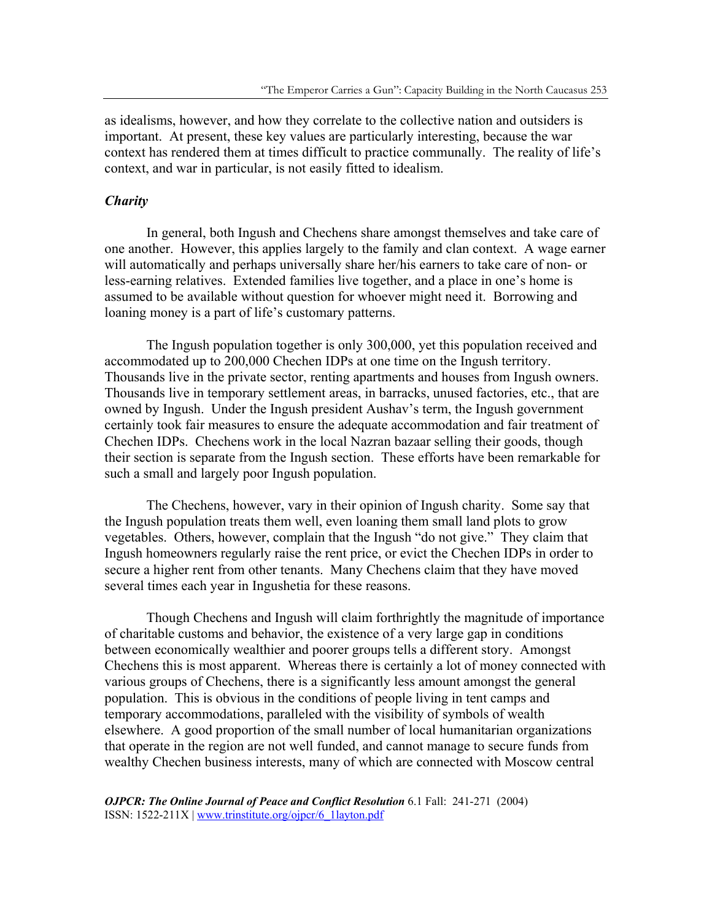as idealisms, however, and how they correlate to the collective nation and outsiders is important. At present, these key values are particularly interesting, because the war context has rendered them at times difficult to practice communally. The reality of life's context, and war in particular, is not easily fitted to idealism.

### *Charity*

 In general, both Ingush and Chechens share amongst themselves and take care of one another. However, this applies largely to the family and clan context. A wage earner will automatically and perhaps universally share her/his earners to take care of non- or less-earning relatives. Extended families live together, and a place in one's home is assumed to be available without question for whoever might need it. Borrowing and loaning money is a part of life's customary patterns.

 The Ingush population together is only 300,000, yet this population received and accommodated up to 200,000 Chechen IDPs at one time on the Ingush territory. Thousands live in the private sector, renting apartments and houses from Ingush owners. Thousands live in temporary settlement areas, in barracks, unused factories, etc., that are owned by Ingush. Under the Ingush president Aushav's term, the Ingush government certainly took fair measures to ensure the adequate accommodation and fair treatment of Chechen IDPs. Chechens work in the local Nazran bazaar selling their goods, though their section is separate from the Ingush section. These efforts have been remarkable for such a small and largely poor Ingush population.

 The Chechens, however, vary in their opinion of Ingush charity. Some say that the Ingush population treats them well, even loaning them small land plots to grow vegetables. Others, however, complain that the Ingush "do not give." They claim that Ingush homeowners regularly raise the rent price, or evict the Chechen IDPs in order to secure a higher rent from other tenants. Many Chechens claim that they have moved several times each year in Ingushetia for these reasons.

Though Chechens and Ingush will claim forthrightly the magnitude of importance of charitable customs and behavior, the existence of a very large gap in conditions between economically wealthier and poorer groups tells a different story. Amongst Chechens this is most apparent. Whereas there is certainly a lot of money connected with various groups of Chechens, there is a significantly less amount amongst the general population. This is obvious in the conditions of people living in tent camps and temporary accommodations, paralleled with the visibility of symbols of wealth elsewhere. A good proportion of the small number of local humanitarian organizations that operate in the region are not well funded, and cannot manage to secure funds from wealthy Chechen business interests, many of which are connected with Moscow central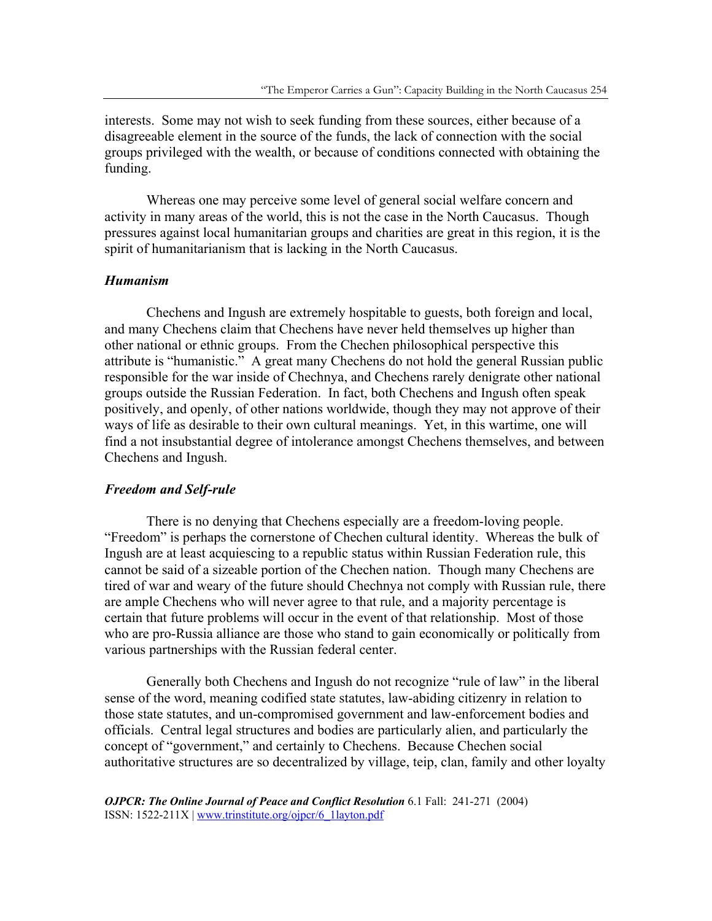interests. Some may not wish to seek funding from these sources, either because of a disagreeable element in the source of the funds, the lack of connection with the social groups privileged with the wealth, or because of conditions connected with obtaining the funding.

Whereas one may perceive some level of general social welfare concern and activity in many areas of the world, this is not the case in the North Caucasus. Though pressures against local humanitarian groups and charities are great in this region, it is the spirit of humanitarianism that is lacking in the North Caucasus.

#### *Humanism*

Chechens and Ingush are extremely hospitable to guests, both foreign and local, and many Chechens claim that Chechens have never held themselves up higher than other national or ethnic groups. From the Chechen philosophical perspective this attribute is "humanistic." A great many Chechens do not hold the general Russian public responsible for the war inside of Chechnya, and Chechens rarely denigrate other national groups outside the Russian Federation. In fact, both Chechens and Ingush often speak positively, and openly, of other nations worldwide, though they may not approve of their ways of life as desirable to their own cultural meanings. Yet, in this wartime, one will find a not insubstantial degree of intolerance amongst Chechens themselves, and between Chechens and Ingush.

### *Freedom and Self-rule*

There is no denying that Chechens especially are a freedom-loving people. "Freedom" is perhaps the cornerstone of Chechen cultural identity. Whereas the bulk of Ingush are at least acquiescing to a republic status within Russian Federation rule, this cannot be said of a sizeable portion of the Chechen nation. Though many Chechens are tired of war and weary of the future should Chechnya not comply with Russian rule, there are ample Chechens who will never agree to that rule, and a majority percentage is certain that future problems will occur in the event of that relationship. Most of those who are pro-Russia alliance are those who stand to gain economically or politically from various partnerships with the Russian federal center.

Generally both Chechens and Ingush do not recognize "rule of law" in the liberal sense of the word, meaning codified state statutes, law-abiding citizenry in relation to those state statutes, and un-compromised government and law-enforcement bodies and officials. Central legal structures and bodies are particularly alien, and particularly the concept of "government," and certainly to Chechens. Because Chechen social authoritative structures are so decentralized by village, teip, clan, family and other loyalty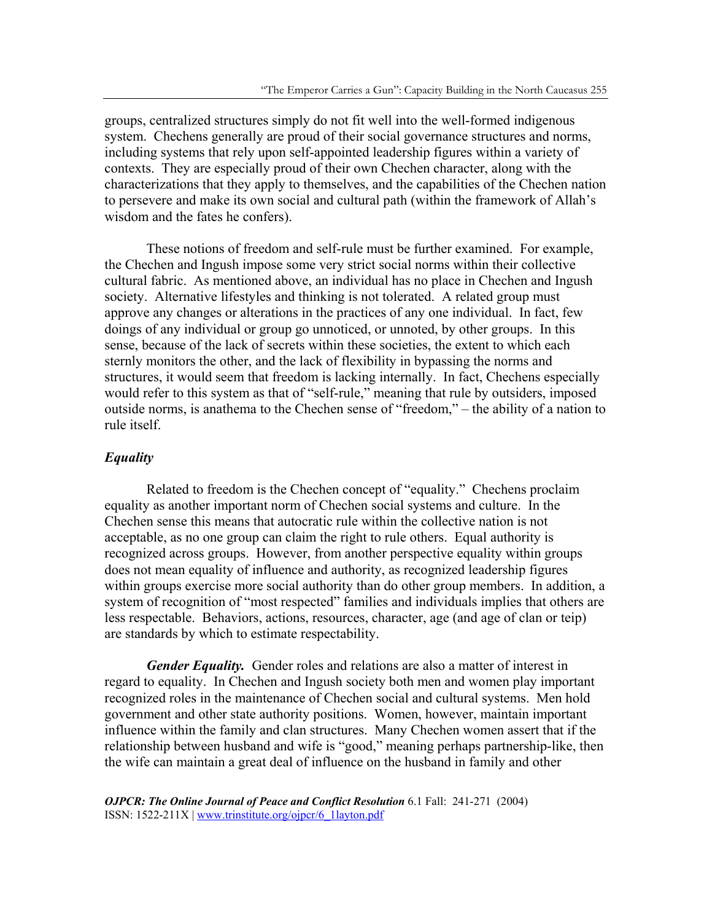groups, centralized structures simply do not fit well into the well-formed indigenous system. Chechens generally are proud of their social governance structures and norms, including systems that rely upon self-appointed leadership figures within a variety of contexts. They are especially proud of their own Chechen character, along with the characterizations that they apply to themselves, and the capabilities of the Chechen nation to persevere and make its own social and cultural path (within the framework of Allah's wisdom and the fates he confers).

These notions of freedom and self-rule must be further examined. For example, the Chechen and Ingush impose some very strict social norms within their collective cultural fabric. As mentioned above, an individual has no place in Chechen and Ingush society. Alternative lifestyles and thinking is not tolerated. A related group must approve any changes or alterations in the practices of any one individual. In fact, few doings of any individual or group go unnoticed, or unnoted, by other groups. In this sense, because of the lack of secrets within these societies, the extent to which each sternly monitors the other, and the lack of flexibility in bypassing the norms and structures, it would seem that freedom is lacking internally. In fact, Chechens especially would refer to this system as that of "self-rule," meaning that rule by outsiders, imposed outside norms, is anathema to the Chechen sense of "freedom," – the ability of a nation to rule itself.

# *Equality*

 Related to freedom is the Chechen concept of "equality." Chechens proclaim equality as another important norm of Chechen social systems and culture. In the Chechen sense this means that autocratic rule within the collective nation is not acceptable, as no one group can claim the right to rule others. Equal authority is recognized across groups. However, from another perspective equality within groups does not mean equality of influence and authority, as recognized leadership figures within groups exercise more social authority than do other group members. In addition, a system of recognition of "most respected" families and individuals implies that others are less respectable. Behaviors, actions, resources, character, age (and age of clan or teip) are standards by which to estimate respectability.

*Gender Equality.* Gender roles and relations are also a matter of interest in regard to equality. In Chechen and Ingush society both men and women play important recognized roles in the maintenance of Chechen social and cultural systems. Men hold government and other state authority positions. Women, however, maintain important influence within the family and clan structures. Many Chechen women assert that if the relationship between husband and wife is "good," meaning perhaps partnership-like, then the wife can maintain a great deal of influence on the husband in family and other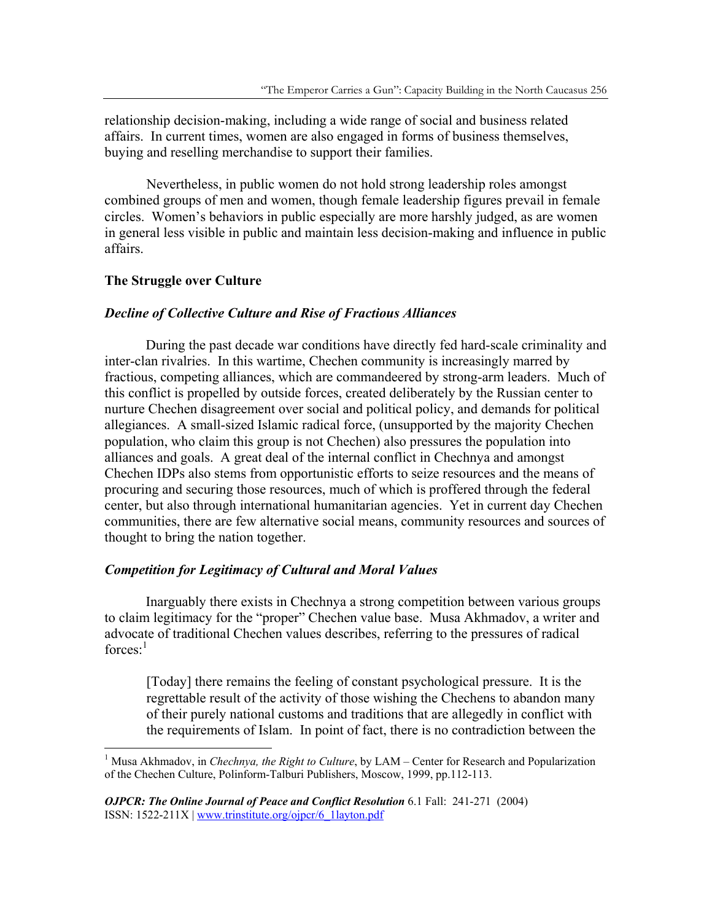relationship decision-making, including a wide range of social and business related affairs. In current times, women are also engaged in forms of business themselves, buying and reselling merchandise to support their families.

Nevertheless, in public women do not hold strong leadership roles amongst combined groups of men and women, though female leadership figures prevail in female circles. Women's behaviors in public especially are more harshly judged, as are women in general less visible in public and maintain less decision-making and influence in public affairs.

# **The Struggle over Culture**

 $\overline{a}$ 

#### *Decline of Collective Culture and Rise of Fractious Alliances*

During the past decade war conditions have directly fed hard-scale criminality and inter-clan rivalries. In this wartime, Chechen community is increasingly marred by fractious, competing alliances, which are commandeered by strong-arm leaders. Much of this conflict is propelled by outside forces, created deliberately by the Russian center to nurture Chechen disagreement over social and political policy, and demands for political allegiances. A small-sized Islamic radical force, (unsupported by the majority Chechen population, who claim this group is not Chechen) also pressures the population into alliances and goals. A great deal of the internal conflict in Chechnya and amongst Chechen IDPs also stems from opportunistic efforts to seize resources and the means of procuring and securing those resources, much of which is proffered through the federal center, but also through international humanitarian agencies. Yet in current day Chechen communities, there are few alternative social means, community resources and sources of thought to bring the nation together.

# *Competition for Legitimacy of Cultural and Moral Values*

Inarguably there exists in Chechnya a strong competition between various groups to claim legitimacy for the "proper" Chechen value base. Musa Akhmadov, a writer and advocate of traditional Chechen values describes, referring to the pressures of radical  $force<sub>s</sub>$ <sup>1</sup>

[Today] there remains the feeling of constant psychological pressure. It is the regrettable result of the activity of those wishing the Chechens to abandon many of their purely national customs and traditions that are allegedly in conflict with the requirements of Islam. In point of fact, there is no contradiction between the

<sup>&</sup>lt;sup>1</sup> Musa Akhmadov, in *Chechnya, the Right to Culture*, by LAM – Center for Research and Popularization of the Chechen Culture, Polinform-Talburi Publishers, Moscow, 1999, pp.112-113.

*OJPCR: The Online Journal of Peace and Conflict Resolution* 6.1 Fall: 241-271 (2004) ISSN: 1522-211X | www.trinstitute.org/ojpcr/6\_1layton.pdf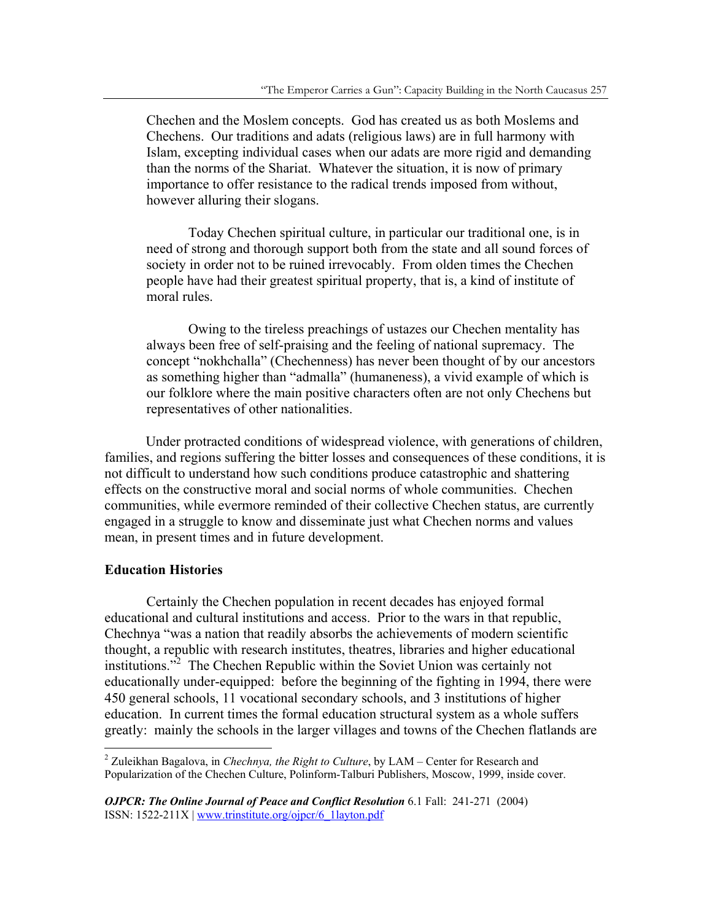Chechen and the Moslem concepts. God has created us as both Moslems and Chechens. Our traditions and adats (religious laws) are in full harmony with Islam, excepting individual cases when our adats are more rigid and demanding than the norms of the Shariat. Whatever the situation, it is now of primary importance to offer resistance to the radical trends imposed from without, however alluring their slogans.

 Today Chechen spiritual culture, in particular our traditional one, is in need of strong and thorough support both from the state and all sound forces of society in order not to be ruined irrevocably. From olden times the Chechen people have had their greatest spiritual property, that is, a kind of institute of moral rules.

 Owing to the tireless preachings of ustazes our Chechen mentality has always been free of self-praising and the feeling of national supremacy. The concept "nokhchalla" (Chechenness) has never been thought of by our ancestors as something higher than "admalla" (humaneness), a vivid example of which is our folklore where the main positive characters often are not only Chechens but representatives of other nationalities.

Under protracted conditions of widespread violence, with generations of children, families, and regions suffering the bitter losses and consequences of these conditions, it is not difficult to understand how such conditions produce catastrophic and shattering effects on the constructive moral and social norms of whole communities. Chechen communities, while evermore reminded of their collective Chechen status, are currently engaged in a struggle to know and disseminate just what Chechen norms and values mean, in present times and in future development.

# **Education Histories**

 $\overline{a}$ 

Certainly the Chechen population in recent decades has enjoyed formal educational and cultural institutions and access. Prior to the wars in that republic, Chechnya "was a nation that readily absorbs the achievements of modern scientific thought, a republic with research institutes, theatres, libraries and higher educational institutions."<sup>2</sup> The Chechen Republic within the Soviet Union was certainly not educationally under-equipped: before the beginning of the fighting in 1994, there were 450 general schools, 11 vocational secondary schools, and 3 institutions of higher education. In current times the formal education structural system as a whole suffers greatly: mainly the schools in the larger villages and towns of the Chechen flatlands are

<sup>2</sup> Zuleikhan Bagalova, in *Chechnya, the Right to Culture*, by LAM – Center for Research and Popularization of the Chechen Culture, Polinform-Talburi Publishers, Moscow, 1999, inside cover.

*OJPCR: The Online Journal of Peace and Conflict Resolution* 6.1 Fall: 241-271 (2004) ISSN: 1522-211X | www.trinstitute.org/ojpcr/6\_1layton.pdf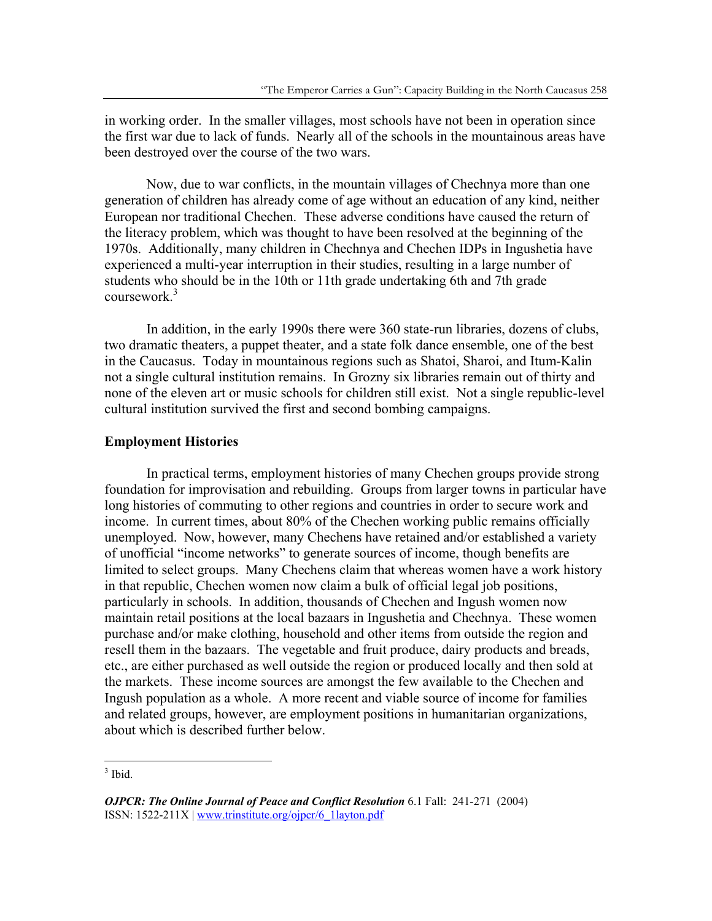in working order. In the smaller villages, most schools have not been in operation since the first war due to lack of funds. Nearly all of the schools in the mountainous areas have been destroyed over the course of the two wars.

Now, due to war conflicts, in the mountain villages of Chechnya more than one generation of children has already come of age without an education of any kind, neither European nor traditional Chechen. These adverse conditions have caused the return of the literacy problem, which was thought to have been resolved at the beginning of the 1970s. Additionally, many children in Chechnya and Chechen IDPs in Ingushetia have experienced a multi-year interruption in their studies, resulting in a large number of students who should be in the 10th or 11th grade undertaking 6th and 7th grade coursework.<sup>3</sup>

In addition, in the early 1990s there were 360 state-run libraries, dozens of clubs, two dramatic theaters, a puppet theater, and a state folk dance ensemble, one of the best in the Caucasus. Today in mountainous regions such as Shatoi, Sharoi, and Itum-Kalin not a single cultural institution remains. In Grozny six libraries remain out of thirty and none of the eleven art or music schools for children still exist. Not a single republic-level cultural institution survived the first and second bombing campaigns.

#### **Employment Histories**

 In practical terms, employment histories of many Chechen groups provide strong foundation for improvisation and rebuilding. Groups from larger towns in particular have long histories of commuting to other regions and countries in order to secure work and income. In current times, about 80% of the Chechen working public remains officially unemployed. Now, however, many Chechens have retained and/or established a variety of unofficial "income networks" to generate sources of income, though benefits are limited to select groups. Many Chechens claim that whereas women have a work history in that republic, Chechen women now claim a bulk of official legal job positions, particularly in schools. In addition, thousands of Chechen and Ingush women now maintain retail positions at the local bazaars in Ingushetia and Chechnya. These women purchase and/or make clothing, household and other items from outside the region and resell them in the bazaars. The vegetable and fruit produce, dairy products and breads, etc., are either purchased as well outside the region or produced locally and then sold at the markets. These income sources are amongst the few available to the Chechen and Ingush population as a whole. A more recent and viable source of income for families and related groups, however, are employment positions in humanitarian organizations, about which is described further below.

 $3$  Ibid.

*OJPCR: The Online Journal of Peace and Conflict Resolution* 6.1 Fall: 241-271 (2004) ISSN: 1522-211X | www.trinstitute.org/ojpcr/6\_1layton.pdf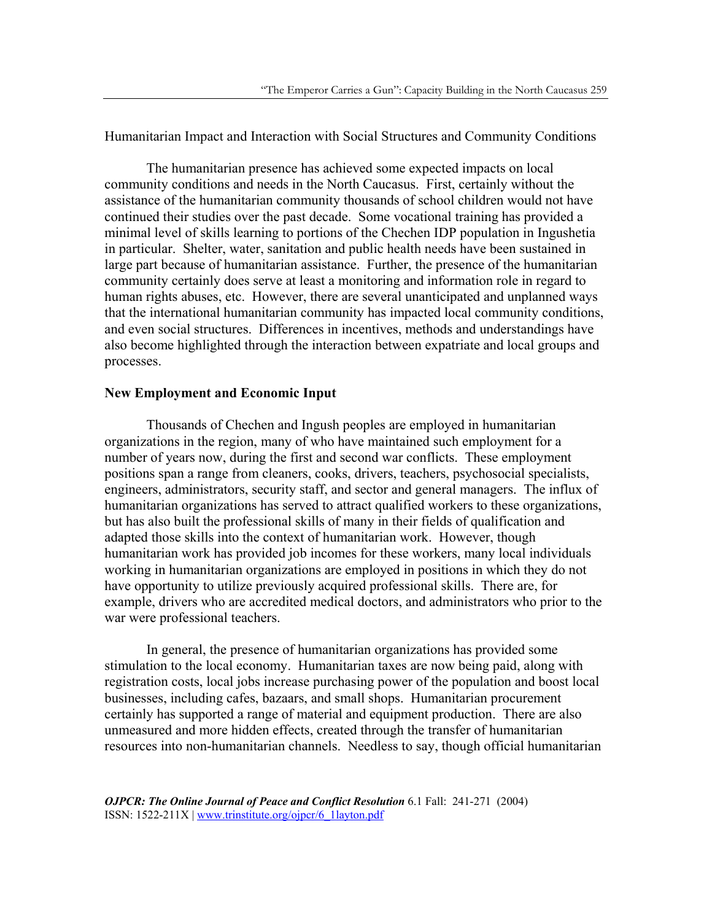Humanitarian Impact and Interaction with Social Structures and Community Conditions

 The humanitarian presence has achieved some expected impacts on local community conditions and needs in the North Caucasus. First, certainly without the assistance of the humanitarian community thousands of school children would not have continued their studies over the past decade. Some vocational training has provided a minimal level of skills learning to portions of the Chechen IDP population in Ingushetia in particular. Shelter, water, sanitation and public health needs have been sustained in large part because of humanitarian assistance. Further, the presence of the humanitarian community certainly does serve at least a monitoring and information role in regard to human rights abuses, etc. However, there are several unanticipated and unplanned ways that the international humanitarian community has impacted local community conditions, and even social structures. Differences in incentives, methods and understandings have also become highlighted through the interaction between expatriate and local groups and processes.

# **New Employment and Economic Input**

 Thousands of Chechen and Ingush peoples are employed in humanitarian organizations in the region, many of who have maintained such employment for a number of years now, during the first and second war conflicts. These employment positions span a range from cleaners, cooks, drivers, teachers, psychosocial specialists, engineers, administrators, security staff, and sector and general managers. The influx of humanitarian organizations has served to attract qualified workers to these organizations, but has also built the professional skills of many in their fields of qualification and adapted those skills into the context of humanitarian work. However, though humanitarian work has provided job incomes for these workers, many local individuals working in humanitarian organizations are employed in positions in which they do not have opportunity to utilize previously acquired professional skills. There are, for example, drivers who are accredited medical doctors, and administrators who prior to the war were professional teachers.

 In general, the presence of humanitarian organizations has provided some stimulation to the local economy. Humanitarian taxes are now being paid, along with registration costs, local jobs increase purchasing power of the population and boost local businesses, including cafes, bazaars, and small shops. Humanitarian procurement certainly has supported a range of material and equipment production. There are also unmeasured and more hidden effects, created through the transfer of humanitarian resources into non-humanitarian channels. Needless to say, though official humanitarian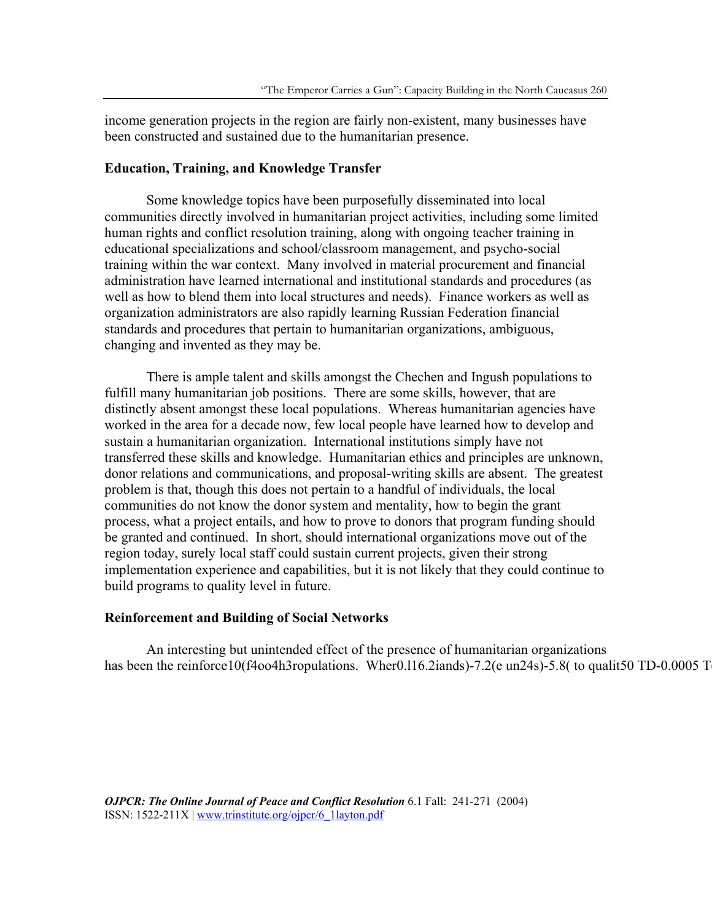income generation projects in the region are fairly non-existent, many businesses have been constructed and sustained due to the humanitarian presence.

#### **Education, Training, and Knowledge Transfer**

 Some knowledge topics have been purposefully disseminated into local communities directly involved in humanitarian project activities, including some limited human rights and conflict resolution training, along with ongoing teacher training in educational specializations and school/classroom management, and psycho-social training within the war context. Many involved in material procurement and financial administration have learned international and institutional standards and procedures (as well as how to blend them into local structures and needs). Finance workers as well as organization administrators are also rapidly learning Russian Federation financial standards and procedures that pertain to humanitarian organizations, ambiguous, changing and invented as they may be.

 There is ample talent and skills amongst the Chechen and Ingush populations to fulfill many humanitarian job positions. There are some skills, however, that are distinctly absent amongst these local populations. Whereas humanitarian agencies have worked in the area for a decade now, few local people have learned how to develop and sustain a humanitarian organization. International institutions simply have not transferred these skills and knowledge. Humanitarian ethics and principles are unknown, donor relations and communications, and proposal-writing skills are absent. The greatest problem is that, though this does not pertain to a handful of individuals, the local communities do not know the donor system and mentality, how to begin the grant process, what a project entails, and how to prove to donors that program funding should be granted and continued. In short, should international organizations move out of the region today, surely local staff could sustain current projects, given their strong implementation experience and capabilities, but it is not likely that they could continue to build programs to quality level in future.

#### **Reinforcement and Building of Social Networks**

 An interesting but unintended effect of the presence of humanitarian organizations has been the reinforce10(f4oo4h3ropulations. Wher0.116.2iands)-7.2(e un24s)-5.8( to qualit50 TD-0.0005 T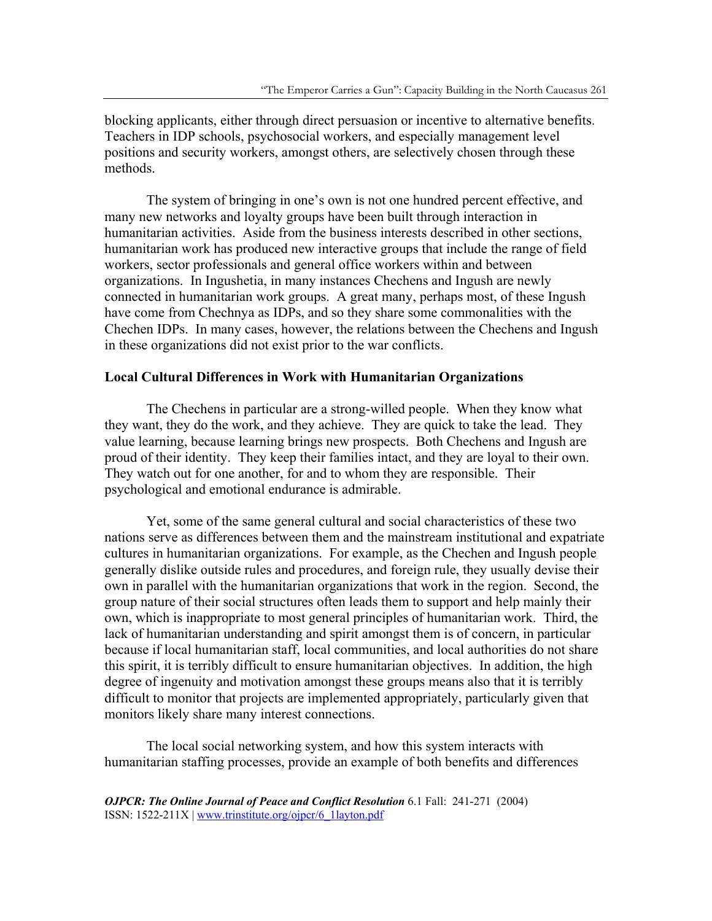blocking applicants, either through direct persuasion or incentive to alternative benefits. Teachers in IDP schools, psychosocial workers, and especially management level positions and security workers, amongst others, are selectively chosen through these methods.

 The system of bringing in one's own is not one hundred percent effective, and many new networks and loyalty groups have been built through interaction in humanitarian activities. Aside from the business interests described in other sections, humanitarian work has produced new interactive groups that include the range of field workers, sector professionals and general office workers within and between organizations. In Ingushetia, in many instances Chechens and Ingush are newly connected in humanitarian work groups. A great many, perhaps most, of these Ingush have come from Chechnya as IDPs, and so they share some commonalities with the Chechen IDPs. In many cases, however, the relations between the Chechens and Ingush in these organizations did not exist prior to the war conflicts.

#### **Local Cultural Differences in Work with Humanitarian Organizations**

 The Chechens in particular are a strong-willed people. When they know what they want, they do the work, and they achieve. They are quick to take the lead. They value learning, because learning brings new prospects. Both Chechens and Ingush are proud of their identity. They keep their families intact, and they are loyal to their own. They watch out for one another, for and to whom they are responsible. Their psychological and emotional endurance is admirable.

 Yet, some of the same general cultural and social characteristics of these two nations serve as differences between them and the mainstream institutional and expatriate cultures in humanitarian organizations. For example, as the Chechen and Ingush people generally dislike outside rules and procedures, and foreign rule, they usually devise their own in parallel with the humanitarian organizations that work in the region. Second, the group nature of their social structures often leads them to support and help mainly their own, which is inappropriate to most general principles of humanitarian work. Third, the lack of humanitarian understanding and spirit amongst them is of concern, in particular because if local humanitarian staff, local communities, and local authorities do not share this spirit, it is terribly difficult to ensure humanitarian objectives. In addition, the high degree of ingenuity and motivation amongst these groups means also that it is terribly difficult to monitor that projects are implemented appropriately, particularly given that monitors likely share many interest connections.

 The local social networking system, and how this system interacts with humanitarian staffing processes, provide an example of both benefits and differences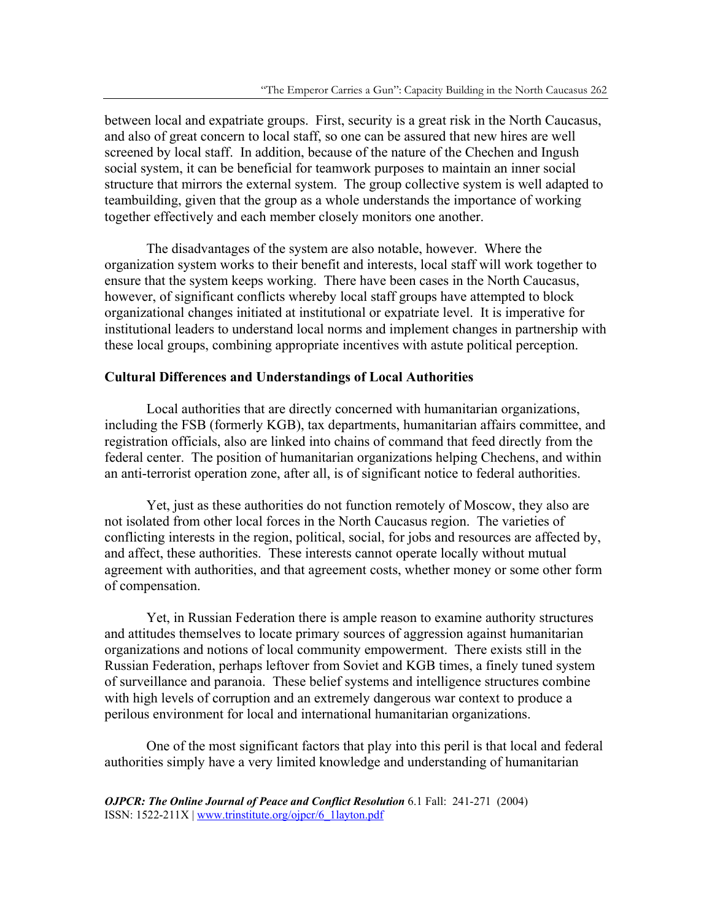between local and expatriate groups. First, security is a great risk in the North Caucasus, and also of great concern to local staff, so one can be assured that new hires are well screened by local staff. In addition, because of the nature of the Chechen and Ingush social system, it can be beneficial for teamwork purposes to maintain an inner social structure that mirrors the external system. The group collective system is well adapted to teambuilding, given that the group as a whole understands the importance of working together effectively and each member closely monitors one another.

 The disadvantages of the system are also notable, however. Where the organization system works to their benefit and interests, local staff will work together to ensure that the system keeps working. There have been cases in the North Caucasus, however, of significant conflicts whereby local staff groups have attempted to block organizational changes initiated at institutional or expatriate level. It is imperative for institutional leaders to understand local norms and implement changes in partnership with these local groups, combining appropriate incentives with astute political perception.

# **Cultural Differences and Understandings of Local Authorities**

 Local authorities that are directly concerned with humanitarian organizations, including the FSB (formerly KGB), tax departments, humanitarian affairs committee, and registration officials, also are linked into chains of command that feed directly from the federal center. The position of humanitarian organizations helping Chechens, and within an anti-terrorist operation zone, after all, is of significant notice to federal authorities.

 Yet, just as these authorities do not function remotely of Moscow, they also are not isolated from other local forces in the North Caucasus region. The varieties of conflicting interests in the region, political, social, for jobs and resources are affected by, and affect, these authorities. These interests cannot operate locally without mutual agreement with authorities, and that agreement costs, whether money or some other form of compensation.

Yet, in Russian Federation there is ample reason to examine authority structures and attitudes themselves to locate primary sources of aggression against humanitarian organizations and notions of local community empowerment. There exists still in the Russian Federation, perhaps leftover from Soviet and KGB times, a finely tuned system of surveillance and paranoia. These belief systems and intelligence structures combine with high levels of corruption and an extremely dangerous war context to produce a perilous environment for local and international humanitarian organizations.

One of the most significant factors that play into this peril is that local and federal authorities simply have a very limited knowledge and understanding of humanitarian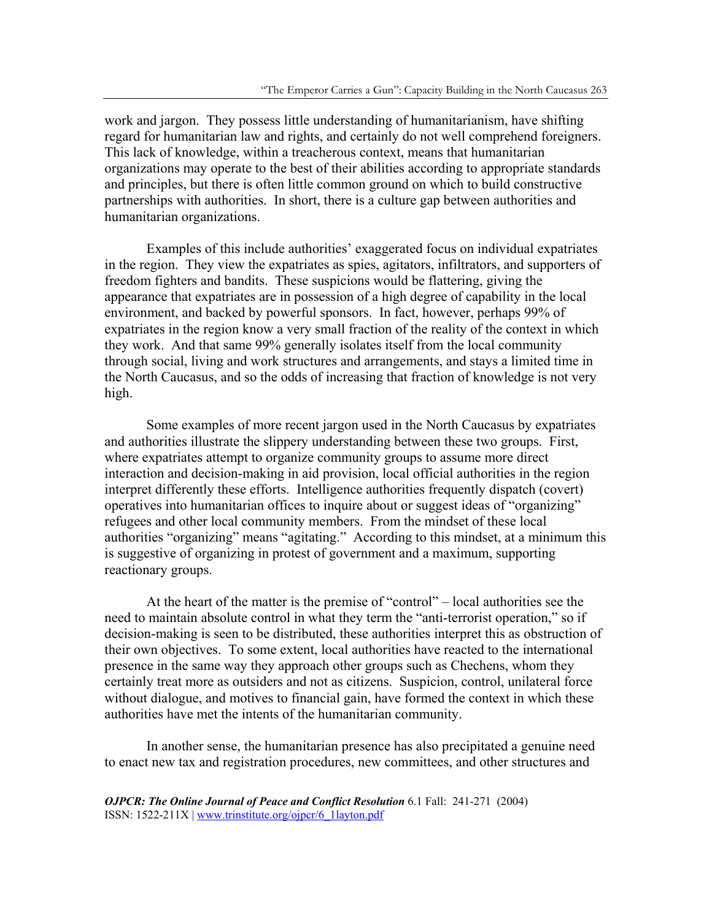work and jargon. They possess little understanding of humanitarianism, have shifting regard for humanitarian law and rights, and certainly do not well comprehend foreigners. This lack of knowledge, within a treacherous context, means that humanitarian organizations may operate to the best of their abilities according to appropriate standards and principles, but there is often little common ground on which to build constructive partnerships with authorities. In short, there is a culture gap between authorities and humanitarian organizations.

Examples of this include authorities' exaggerated focus on individual expatriates in the region. They view the expatriates as spies, agitators, infiltrators, and supporters of freedom fighters and bandits. These suspicions would be flattering, giving the appearance that expatriates are in possession of a high degree of capability in the local environment, and backed by powerful sponsors. In fact, however, perhaps 99% of expatriates in the region know a very small fraction of the reality of the context in which they work. And that same 99% generally isolates itself from the local community through social, living and work structures and arrangements, and stays a limited time in the North Caucasus, and so the odds of increasing that fraction of knowledge is not very high.

Some examples of more recent jargon used in the North Caucasus by expatriates and authorities illustrate the slippery understanding between these two groups. First, where expatriates attempt to organize community groups to assume more direct interaction and decision-making in aid provision, local official authorities in the region interpret differently these efforts. Intelligence authorities frequently dispatch (covert) operatives into humanitarian offices to inquire about or suggest ideas of "organizing" refugees and other local community members. From the mindset of these local authorities "organizing" means "agitating." According to this mindset, at a minimum this is suggestive of organizing in protest of government and a maximum, supporting reactionary groups.

At the heart of the matter is the premise of "control" – local authorities see the need to maintain absolute control in what they term the "anti-terrorist operation," so if decision-making is seen to be distributed, these authorities interpret this as obstruction of their own objectives. To some extent, local authorities have reacted to the international presence in the same way they approach other groups such as Chechens, whom they certainly treat more as outsiders and not as citizens. Suspicion, control, unilateral force without dialogue, and motives to financial gain, have formed the context in which these authorities have met the intents of the humanitarian community.

In another sense, the humanitarian presence has also precipitated a genuine need to enact new tax and registration procedures, new committees, and other structures and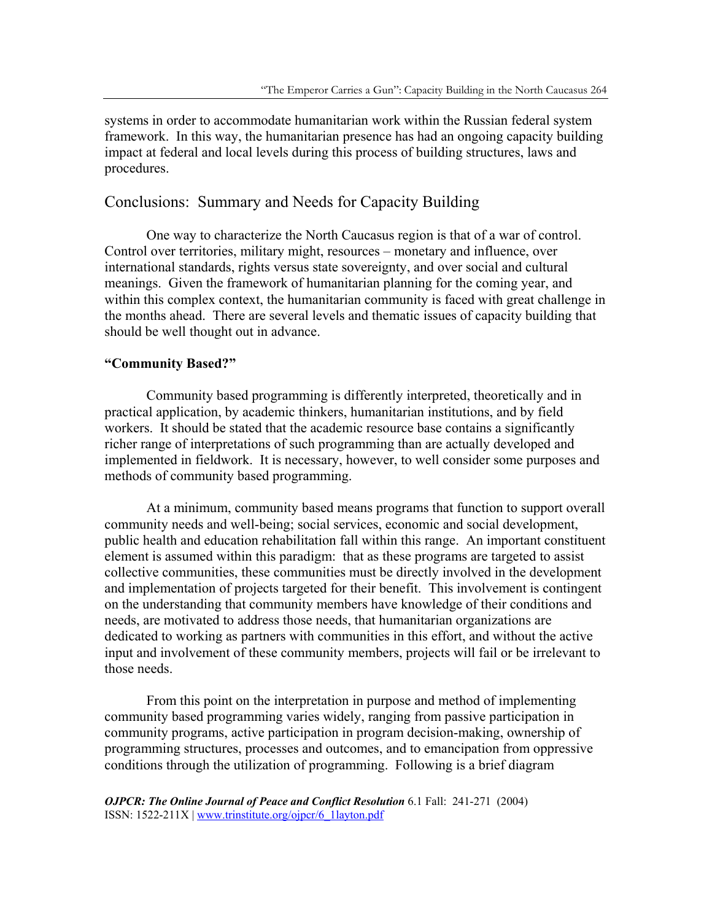systems in order to accommodate humanitarian work within the Russian federal system framework. In this way, the humanitarian presence has had an ongoing capacity building impact at federal and local levels during this process of building structures, laws and procedures.

# Conclusions: Summary and Needs for Capacity Building

 One way to characterize the North Caucasus region is that of a war of control. Control over territories, military might, resources – monetary and influence, over international standards, rights versus state sovereignty, and over social and cultural meanings. Given the framework of humanitarian planning for the coming year, and within this complex context, the humanitarian community is faced with great challenge in the months ahead. There are several levels and thematic issues of capacity building that should be well thought out in advance.

# **"Community Based?"**

 Community based programming is differently interpreted, theoretically and in practical application, by academic thinkers, humanitarian institutions, and by field workers. It should be stated that the academic resource base contains a significantly richer range of interpretations of such programming than are actually developed and implemented in fieldwork. It is necessary, however, to well consider some purposes and methods of community based programming.

 At a minimum, community based means programs that function to support overall community needs and well-being; social services, economic and social development, public health and education rehabilitation fall within this range. An important constituent element is assumed within this paradigm: that as these programs are targeted to assist collective communities, these communities must be directly involved in the development and implementation of projects targeted for their benefit. This involvement is contingent on the understanding that community members have knowledge of their conditions and needs, are motivated to address those needs, that humanitarian organizations are dedicated to working as partners with communities in this effort, and without the active input and involvement of these community members, projects will fail or be irrelevant to those needs.

 From this point on the interpretation in purpose and method of implementing community based programming varies widely, ranging from passive participation in community programs, active participation in program decision-making, ownership of programming structures, processes and outcomes, and to emancipation from oppressive conditions through the utilization of programming. Following is a brief diagram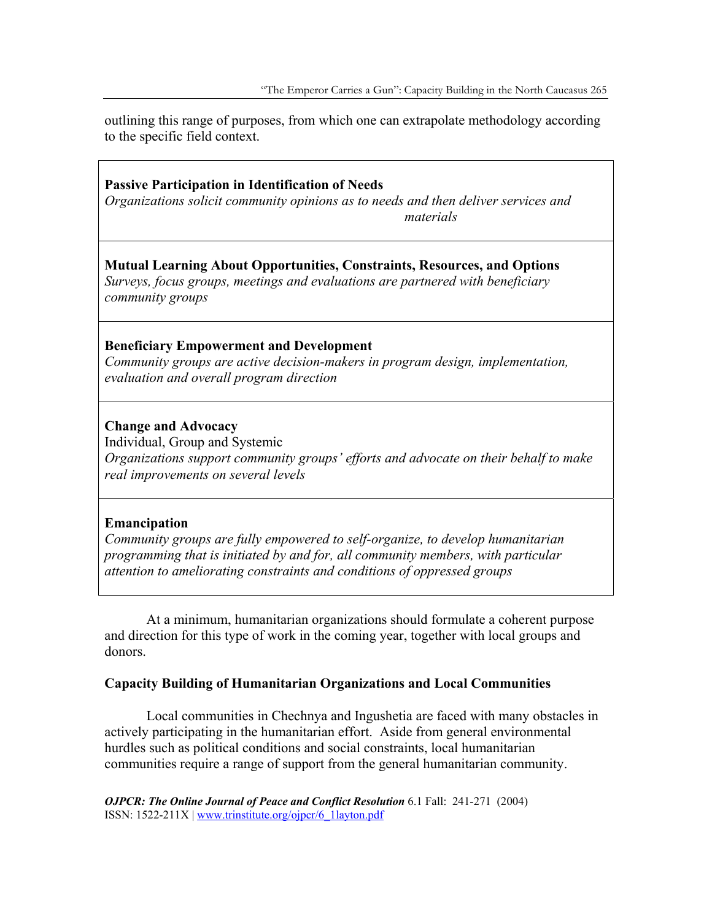outlining this range of purposes, from which one can extrapolate methodology according to the specific field context.

# **Passive Participation in Identification of Needs**

*Organizations solicit community opinions as to needs and then deliver services and materials* 

# **Mutual Learning About Opportunities, Constraints, Resources, and Options**

*Surveys, focus groups, meetings and evaluations are partnered with beneficiary community groups* 

# **Beneficiary Empowerment and Development**

*Community groups are active decision-makers in program design, implementation, evaluation and overall program direction* 

# **Change and Advocacy**

Individual, Group and Systemic

*Organizations support community groups' efforts and advocate on their behalf to make real improvements on several levels* 

# **Emancipation**

*Community groups are fully empowered to self-organize, to develop humanitarian programming that is initiated by and for, all community members, with particular attention to ameliorating constraints and conditions of oppressed groups* 

 At a minimum, humanitarian organizations should formulate a coherent purpose and direction for this type of work in the coming year, together with local groups and donors.

# **Capacity Building of Humanitarian Organizations and Local Communities**

Local communities in Chechnya and Ingushetia are faced with many obstacles in actively participating in the humanitarian effort. Aside from general environmental hurdles such as political conditions and social constraints, local humanitarian communities require a range of support from the general humanitarian community.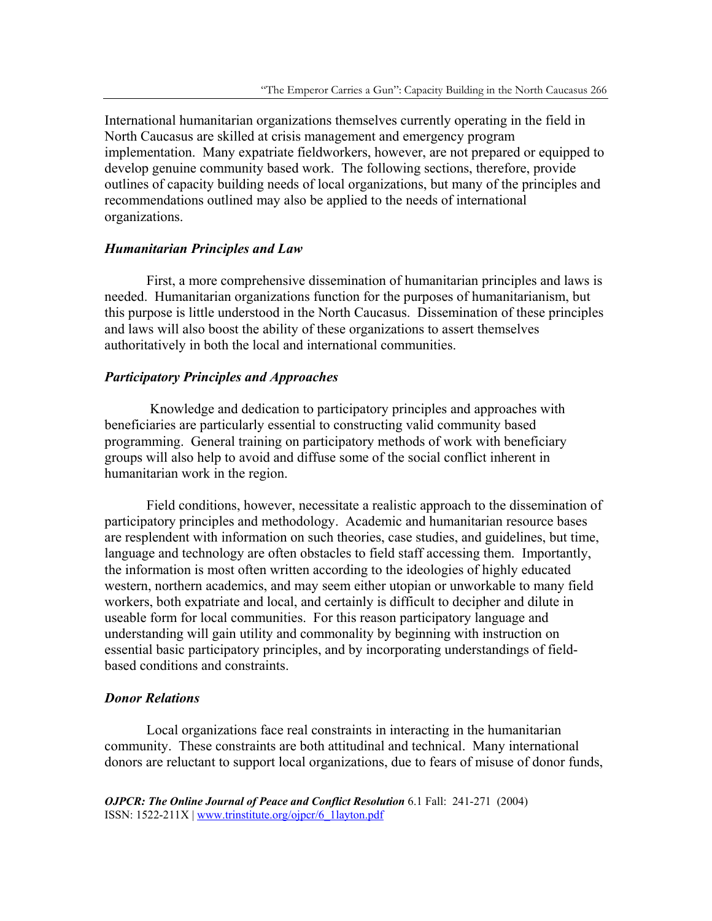International humanitarian organizations themselves currently operating in the field in North Caucasus are skilled at crisis management and emergency program implementation. Many expatriate fieldworkers, however, are not prepared or equipped to develop genuine community based work. The following sections, therefore, provide outlines of capacity building needs of local organizations, but many of the principles and recommendations outlined may also be applied to the needs of international organizations.

### *Humanitarian Principles and Law*

First, a more comprehensive dissemination of humanitarian principles and laws is needed. Humanitarian organizations function for the purposes of humanitarianism, but this purpose is little understood in the North Caucasus. Dissemination of these principles and laws will also boost the ability of these organizations to assert themselves authoritatively in both the local and international communities.

#### *Participatory Principles and Approaches*

 Knowledge and dedication to participatory principles and approaches with beneficiaries are particularly essential to constructing valid community based programming. General training on participatory methods of work with beneficiary groups will also help to avoid and diffuse some of the social conflict inherent in humanitarian work in the region.

Field conditions, however, necessitate a realistic approach to the dissemination of participatory principles and methodology. Academic and humanitarian resource bases are resplendent with information on such theories, case studies, and guidelines, but time, language and technology are often obstacles to field staff accessing them. Importantly, the information is most often written according to the ideologies of highly educated western, northern academics, and may seem either utopian or unworkable to many field workers, both expatriate and local, and certainly is difficult to decipher and dilute in useable form for local communities. For this reason participatory language and understanding will gain utility and commonality by beginning with instruction on essential basic participatory principles, and by incorporating understandings of fieldbased conditions and constraints.

#### *Donor Relations*

Local organizations face real constraints in interacting in the humanitarian community. These constraints are both attitudinal and technical. Many international donors are reluctant to support local organizations, due to fears of misuse of donor funds,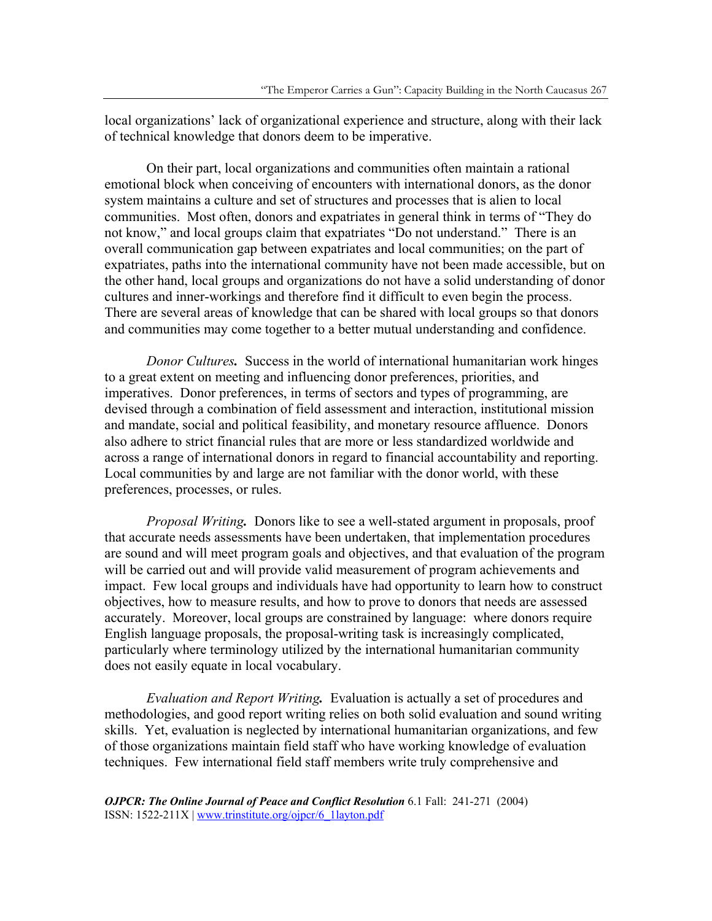local organizations' lack of organizational experience and structure, along with their lack of technical knowledge that donors deem to be imperative.

On their part, local organizations and communities often maintain a rational emotional block when conceiving of encounters with international donors, as the donor system maintains a culture and set of structures and processes that is alien to local communities. Most often, donors and expatriates in general think in terms of "They do not know," and local groups claim that expatriates "Do not understand." There is an overall communication gap between expatriates and local communities; on the part of expatriates, paths into the international community have not been made accessible, but on the other hand, local groups and organizations do not have a solid understanding of donor cultures and inner-workings and therefore find it difficult to even begin the process. There are several areas of knowledge that can be shared with local groups so that donors and communities may come together to a better mutual understanding and confidence.

*Donor Cultures.* Success in the world of international humanitarian work hinges to a great extent on meeting and influencing donor preferences, priorities, and imperatives. Donor preferences, in terms of sectors and types of programming, are devised through a combination of field assessment and interaction, institutional mission and mandate, social and political feasibility, and monetary resource affluence. Donors also adhere to strict financial rules that are more or less standardized worldwide and across a range of international donors in regard to financial accountability and reporting. Local communities by and large are not familiar with the donor world, with these preferences, processes, or rules.

*Proposal Writing.* Donors like to see a well-stated argument in proposals, proof that accurate needs assessments have been undertaken, that implementation procedures are sound and will meet program goals and objectives, and that evaluation of the program will be carried out and will provide valid measurement of program achievements and impact. Few local groups and individuals have had opportunity to learn how to construct objectives, how to measure results, and how to prove to donors that needs are assessed accurately. Moreover, local groups are constrained by language: where donors require English language proposals, the proposal-writing task is increasingly complicated, particularly where terminology utilized by the international humanitarian community does not easily equate in local vocabulary.

*Evaluation and Report Writing.* Evaluation is actually a set of procedures and methodologies, and good report writing relies on both solid evaluation and sound writing skills. Yet, evaluation is neglected by international humanitarian organizations, and few of those organizations maintain field staff who have working knowledge of evaluation techniques. Few international field staff members write truly comprehensive and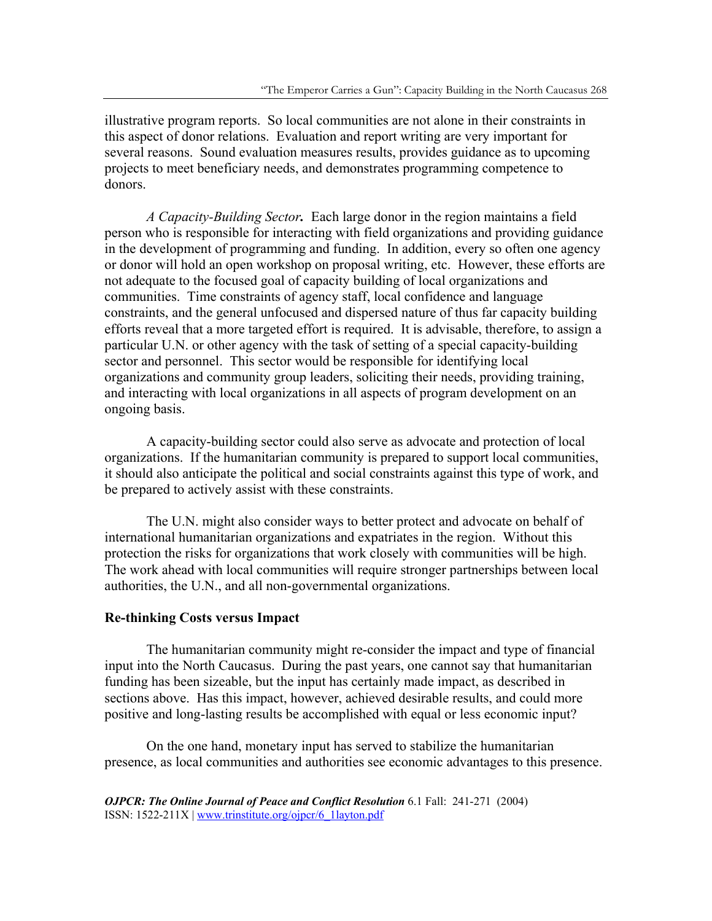illustrative program reports. So local communities are not alone in their constraints in this aspect of donor relations. Evaluation and report writing are very important for several reasons. Sound evaluation measures results, provides guidance as to upcoming projects to meet beneficiary needs, and demonstrates programming competence to donors.

*A Capacity-Building Sector.* Each large donor in the region maintains a field person who is responsible for interacting with field organizations and providing guidance in the development of programming and funding. In addition, every so often one agency or donor will hold an open workshop on proposal writing, etc. However, these efforts are not adequate to the focused goal of capacity building of local organizations and communities. Time constraints of agency staff, local confidence and language constraints, and the general unfocused and dispersed nature of thus far capacity building efforts reveal that a more targeted effort is required. It is advisable, therefore, to assign a particular U.N. or other agency with the task of setting of a special capacity-building sector and personnel. This sector would be responsible for identifying local organizations and community group leaders, soliciting their needs, providing training, and interacting with local organizations in all aspects of program development on an ongoing basis.

A capacity-building sector could also serve as advocate and protection of local organizations. If the humanitarian community is prepared to support local communities, it should also anticipate the political and social constraints against this type of work, and be prepared to actively assist with these constraints.

The U.N. might also consider ways to better protect and advocate on behalf of international humanitarian organizations and expatriates in the region. Without this protection the risks for organizations that work closely with communities will be high. The work ahead with local communities will require stronger partnerships between local authorities, the U.N., and all non-governmental organizations.

#### **Re-thinking Costs versus Impact**

 The humanitarian community might re-consider the impact and type of financial input into the North Caucasus. During the past years, one cannot say that humanitarian funding has been sizeable, but the input has certainly made impact, as described in sections above. Has this impact, however, achieved desirable results, and could more positive and long-lasting results be accomplished with equal or less economic input?

 On the one hand, monetary input has served to stabilize the humanitarian presence, as local communities and authorities see economic advantages to this presence.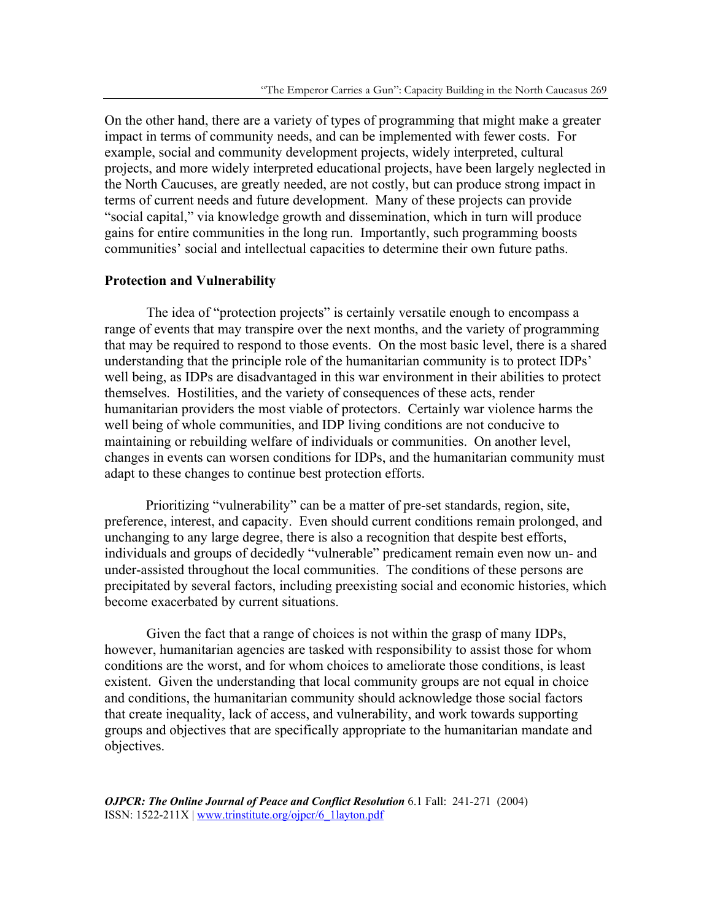On the other hand, there are a variety of types of programming that might make a greater impact in terms of community needs, and can be implemented with fewer costs. For example, social and community development projects, widely interpreted, cultural projects, and more widely interpreted educational projects, have been largely neglected in the North Caucuses, are greatly needed, are not costly, but can produce strong impact in terms of current needs and future development. Many of these projects can provide "social capital," via knowledge growth and dissemination, which in turn will produce gains for entire communities in the long run. Importantly, such programming boosts communities' social and intellectual capacities to determine their own future paths.

#### **Protection and Vulnerability**

 The idea of "protection projects" is certainly versatile enough to encompass a range of events that may transpire over the next months, and the variety of programming that may be required to respond to those events. On the most basic level, there is a shared understanding that the principle role of the humanitarian community is to protect IDPs' well being, as IDPs are disadvantaged in this war environment in their abilities to protect themselves. Hostilities, and the variety of consequences of these acts, render humanitarian providers the most viable of protectors. Certainly war violence harms the well being of whole communities, and IDP living conditions are not conducive to maintaining or rebuilding welfare of individuals or communities. On another level, changes in events can worsen conditions for IDPs, and the humanitarian community must adapt to these changes to continue best protection efforts.

Prioritizing "vulnerability" can be a matter of pre-set standards, region, site, preference, interest, and capacity.Even should current conditions remain prolonged, and unchanging to any large degree, there is also a recognition that despite best efforts, individuals and groups of decidedly "vulnerable" predicament remain even now un- and under-assisted throughout the local communities. The conditions of these persons are precipitated by several factors, including preexisting social and economic histories, which become exacerbated by current situations.

 Given the fact that a range of choices is not within the grasp of many IDPs, however, humanitarian agencies are tasked with responsibility to assist those for whom conditions are the worst, and for whom choices to ameliorate those conditions, is least existent. Given the understanding that local community groups are not equal in choice and conditions, the humanitarian community should acknowledge those social factors that create inequality, lack of access, and vulnerability, and work towards supporting groups and objectives that are specifically appropriate to the humanitarian mandate and objectives.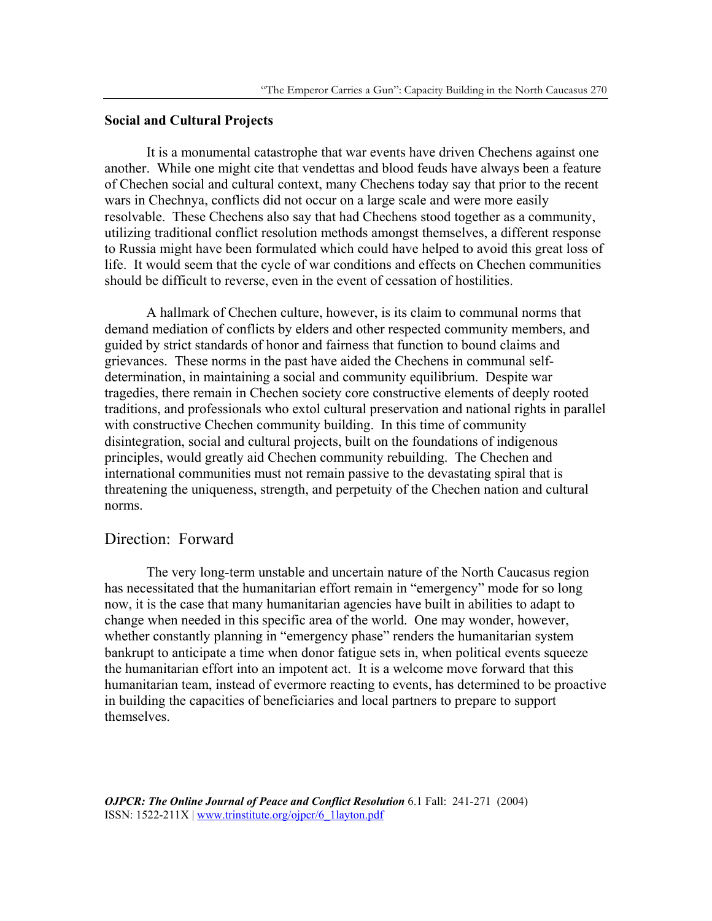### **Social and Cultural Projects**

It is a monumental catastrophe that war events have driven Chechens against one another. While one might cite that vendettas and blood feuds have always been a feature of Chechen social and cultural context, many Chechens today say that prior to the recent wars in Chechnya, conflicts did not occur on a large scale and were more easily resolvable. These Chechens also say that had Chechens stood together as a community, utilizing traditional conflict resolution methods amongst themselves, a different response to Russia might have been formulated which could have helped to avoid this great loss of life. It would seem that the cycle of war conditions and effects on Chechen communities should be difficult to reverse, even in the event of cessation of hostilities.

A hallmark of Chechen culture, however, is its claim to communal norms that demand mediation of conflicts by elders and other respected community members, and guided by strict standards of honor and fairness that function to bound claims and grievances. These norms in the past have aided the Chechens in communal selfdetermination, in maintaining a social and community equilibrium. Despite war tragedies, there remain in Chechen society core constructive elements of deeply rooted traditions, and professionals who extol cultural preservation and national rights in parallel with constructive Chechen community building. In this time of community disintegration, social and cultural projects, built on the foundations of indigenous principles, would greatly aid Chechen community rebuilding. The Chechen and international communities must not remain passive to the devastating spiral that is threatening the uniqueness, strength, and perpetuity of the Chechen nation and cultural norms.

# Direction: Forward

 The very long-term unstable and uncertain nature of the North Caucasus region has necessitated that the humanitarian effort remain in "emergency" mode for so long now, it is the case that many humanitarian agencies have built in abilities to adapt to change when needed in this specific area of the world. One may wonder, however, whether constantly planning in "emergency phase" renders the humanitarian system bankrupt to anticipate a time when donor fatigue sets in, when political events squeeze the humanitarian effort into an impotent act. It is a welcome move forward that this humanitarian team, instead of evermore reacting to events, has determined to be proactive in building the capacities of beneficiaries and local partners to prepare to support themselves.